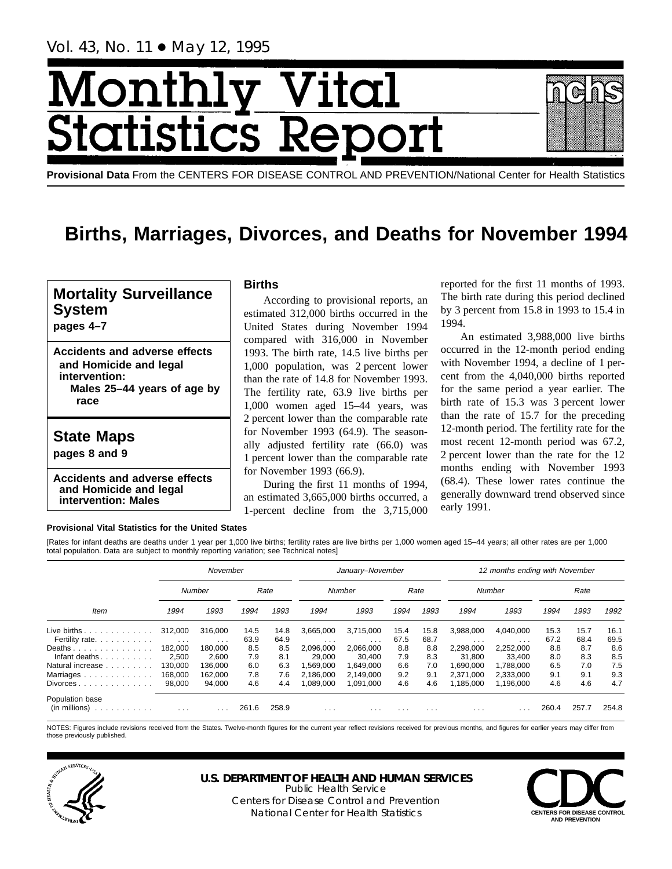Vol. 43, No. 11 ● May 12, 1995

# Month <u>y Vital</u> tics Re **Statist**

**Provisional Data** From the CENTERS FOR DISEASE CONTROL AND PREVENTION/National Center for Health Statistics

## **Births, Marriages, Divorces, and Deaths for November 1994**

## **Mortality Surveillance System**

**pages 4–7**

**Accidents and adverse effects and Homicide and legal intervention: Males 25–44 years of age by race**

## **State Maps**

**pages 8 and 9**

**Accidents and adverse effects and Homicide and legal intervention: Males**

## **Births**

According to provisional reports, an estimated 312,000 births occurred in the United States during November 1994 compared with 316,000 in November 1993. The birth rate, 14.5 live births per 1,000 population, was 2 percent lower than the rate of 14.8 for November 1993. The fertility rate, 63.9 live births per 1,000 women aged 15–44 years, was 2 percent lower than the comparable rate for November 1993 (64.9). The seasonally adjusted fertility rate (66.0) was 1 percent lower than the comparable rate for November 1993 (66.9).

During the first 11 months of 1994, an estimated 3,665,000 births occurred, a 1-percent decline from the 3,715,000

reported for the first 11 months of 1993. The birth rate during this period declined by 3 percent from 15.8 in 1993 to 15.4 in 1994.

An estimated 3,988,000 live births occurred in the 12-month period ending with November 1994, a decline of 1 percent from the 4,040,000 births reported for the same period a year earlier. The birth rate of 15.3 was 3 percent lower than the rate of 15.7 for the preceding 12-month period. The fertility rate for the most recent 12-month period was 67.2, 2 percent lower than the rate for the 12 months ending with November 1993 (68.4). These lower rates continue the generally downward trend observed since early 1991.

### **Provisional Vital Statistics for the United States**

[Rates for infant deaths are deaths under 1 year per 1,000 live births; fertility rates are live births per 1,000 women aged 15–44 years; all other rates are per 1,000 total population. Data are subject to monthly reporting variation; see Technical notes]

|                                           | November                |                         |       |       |                         | January-November        |          |                         | 12 months ending with November |           |       |       |       |  |  |
|-------------------------------------------|-------------------------|-------------------------|-------|-------|-------------------------|-------------------------|----------|-------------------------|--------------------------------|-----------|-------|-------|-------|--|--|
|                                           |                         | Number                  |       | Rate  |                         | Number                  |          | Rate                    |                                | Number    |       | Rate  |       |  |  |
| Item                                      | 1994                    | 1993                    | 1994  | 1993  | 1994                    | 1993                    | 1994     | 1993                    | 1994                           | 1993      | 1994  | 1993  | 1992  |  |  |
| Live births $\ldots \ldots \ldots \ldots$ | 312.000                 | 316,000                 | 14.5  | 14.8  | 3.665.000               | 3.715.000               | 15.4     | 15.8                    | 3.988.000                      | 4.040.000 | 15.3  | 15.7  | 16.1  |  |  |
| Fertility rate.                           | $\sim$ 100 $\sim$       | $\cdots$                | 63.9  | 64.9  | $\cdots$                | $\cdots$                | 67.5     | 68.7                    | $\cdots$                       | $\cdots$  | 67.2  | 68.4  | 69.5  |  |  |
| Deaths                                    | 182.000                 | 180.000                 | 8.5   | 8.5   | 2.096.000               | 2,066,000               | 8.8      | 8.8                     | 2,298,000                      | 2,252,000 | 8.8   | 8.7   | 8.6   |  |  |
| Infant deaths                             | 2,500                   | 2.600                   | 7.9   | 8.1   | 29.000                  | 30.400                  | 7.9      | 8.3                     | 31,800                         | 33.400    | 8.0   | 8.3   | 8.5   |  |  |
| Natural increase                          | 130.000                 | 136.000                 | 6.0   | 6.3   | .569.000                | 1.649.000               | 6.6      | 7.0                     | 1.690.000                      | 1.788.000 | 6.5   | 7.0   | 7.5   |  |  |
| Marriages                                 | 168,000                 | 162.000                 | 7.8   | 7.6   | 2.186.000               | 2.149.000               | 9.2      | 9.1                     | 2.371.000                      | 2.333.000 | 9.1   | 9.1   | 9.3   |  |  |
| Divorces                                  | 98,000                  | 94,000                  | 4.6   | 4.4   | ,089,000                | 1,091,000               | 4.6      | 4.6                     | 1,185,000                      | 1,196,000 | 4.6   | 4.6   | 4.7   |  |  |
| Population base<br>(in millions)<br>.     | $\cdot$ $\cdot$ $\cdot$ | $\cdot$ $\cdot$ $\cdot$ | 261.6 | 258.9 | $\cdot$ $\cdot$ $\cdot$ | $\cdot$ $\cdot$ $\cdot$ | $\cdots$ | $\cdot$ $\cdot$ $\cdot$ | $\cdots$                       | .         | 260.4 | 257.7 | 254.8 |  |  |

NOTES: Figures include revisions received from the States. Twelve-month figures for the current year reflect revisions received for previous months, and figures for earlier years may differ from those previously published.



## **U.S. DEPARTMENT OF HEALTH AND HUMAN SERVICES**

Public Health Service Centers for Disease Control and Prevention National Center for Health Statistics **CENTERS FOR DISEASE CONTROL** 

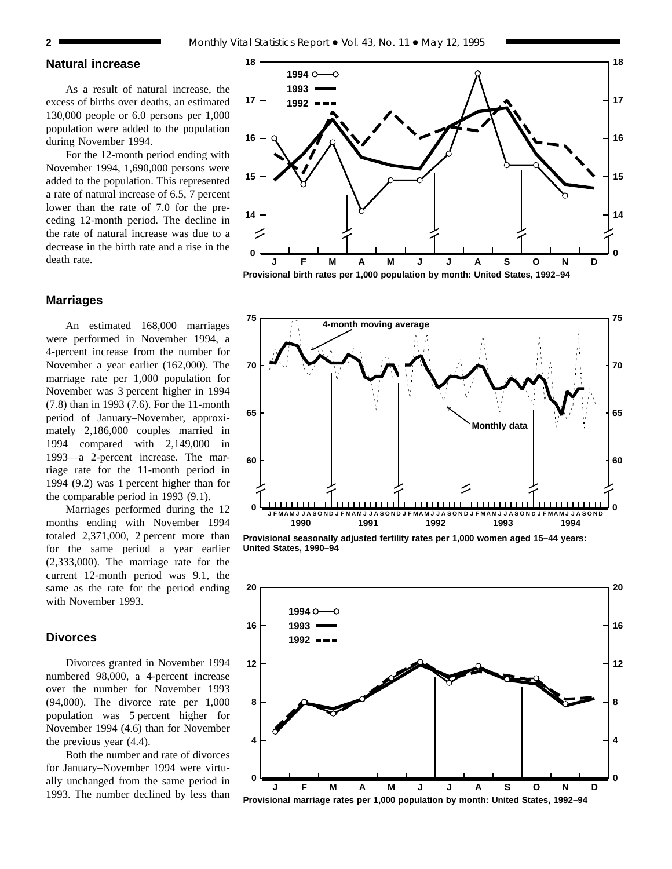## **Natural increase**

As a result of natural increase, the excess of births over deaths, an estimated 130,000 people or 6.0 persons per 1,000 population were added to the population during November 1994.

For the 12-month period ending with November 1994, 1,690,000 persons were added to the population. This represented a rate of natural increase of 6.5, 7 percent lower than the rate of 7.0 for the preceding 12-month period. The decline in the rate of natural increase was due to a decrease in the birth rate and a rise in the death rate.

### **Marriages**

An estimated 168,000 marriages were performed in November 1994, a 4-percent increase from the number for November a year earlier (162,000). The marriage rate per 1,000 population for November was 3 percent higher in 1994 (7.8) than in 1993 (7.6). For the 11-month period of January–November, approximately 2,186,000 couples married in 1994 compared with 2,149,000 in 1993—a 2-percent increase. The marriage rate for the 11-month period in 1994 (9.2) was 1 percent higher than for the comparable period in 1993 (9.1).

Marriages performed during the 12 months ending with November 1994 totaled 2,371,000, 2 percent more than for the same period a year earlier (2,333,000). The marriage rate for the current 12-month period was 9.1, the same as the rate for the period ending with November 1993.

#### **Divorces**

Divorces granted in November 1994 numbered 98,000, a 4-percent increase over the number for November 1993 (94,000). The divorce rate per 1,000 population was 5 percent higher for November 1994 (4.6) than for November the previous year (4.4).

Both the number and rate of divorces for January–November 1994 were virtually unchanged from the same period in 1993. The number declined by less than





**Provisional seasonally adjusted fertility rates per 1,000 women aged 15–44 years: United States, 1990–94**



**Provisional marriage rates per 1,000 population by month: United States, 1992–94**

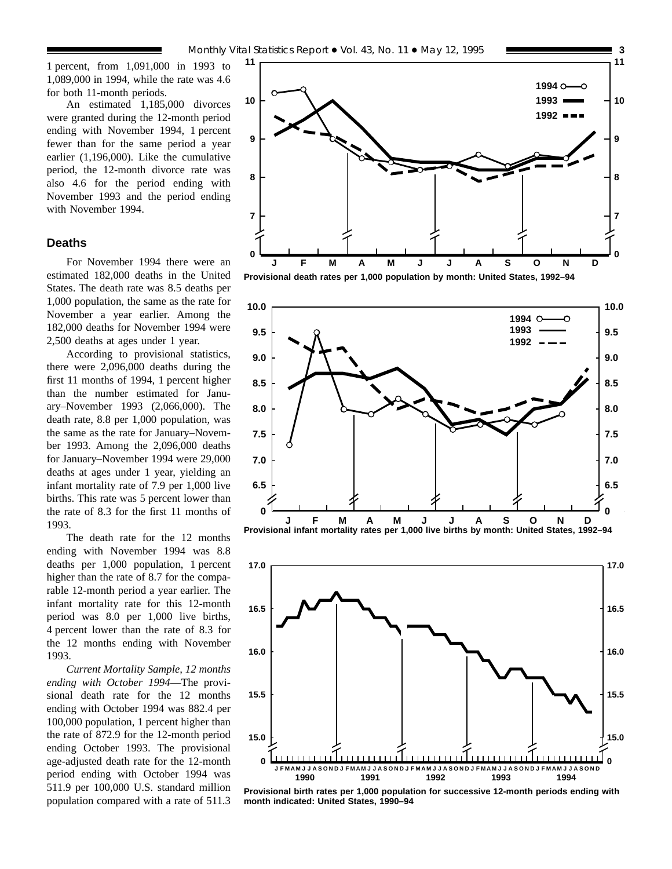1 percent, from 1,091,000 in 1993 to 1,089,000 in 1994, while the rate was 4.6 for both 11-month periods.

An estimated 1,185,000 divorces were granted during the 12-month period ending with November 1994, 1 percent fewer than for the same period a year earlier (1,196,000). Like the cumulative period, the 12-month divorce rate was also 4.6 for the period ending with November 1993 and the period ending with November 1994.

## **Deaths**

For November 1994 there were an estimated 182,000 deaths in the United States. The death rate was 8.5 deaths per 1,000 population, the same as the rate for November a year earlier. Among the 182,000 deaths for November 1994 were 2,500 deaths at ages under 1 year.

According to provisional statistics, there were 2,096,000 deaths during the first 11 months of 1994, 1 percent higher than the number estimated for January–November 1993 (2,066,000). The death rate, 8.8 per 1,000 population, was the same as the rate for January–November 1993. Among the 2,096,000 deaths for January–November 1994 were 29,000 deaths at ages under 1 year, yielding an infant mortality rate of 7.9 per 1,000 live births. This rate was 5 percent lower than the rate of 8.3 for the first 11 months of 1993.

The death rate for the 12 months ending with November 1994 was 8.8 deaths per 1,000 population, 1 percent higher than the rate of 8.7 for the comparable 12-month period a year earlier. The infant mortality rate for this 12-month period was 8.0 per 1,000 live births, 4 percent lower than the rate of 8.3 for the 12 months ending with November 1993.

*Current Mortality Sample, 12 months ending with October 1994*—The provisional death rate for the 12 months ending with October 1994 was 882.4 per 100,000 population, 1 percent higher than the rate of 872.9 for the 12-month period ending October 1993. The provisional age-adjusted death rate for the 12-month period ending with October 1994 was 511.9 per 100,000 U.S. standard million population compared with a rate of 511.3



**Provisional death rates per 1,000 population by month: United States, 1992–94**





**Provisional birth rates per 1,000 population for successive 12-month periods ending with month indicated: United States, 1990–94**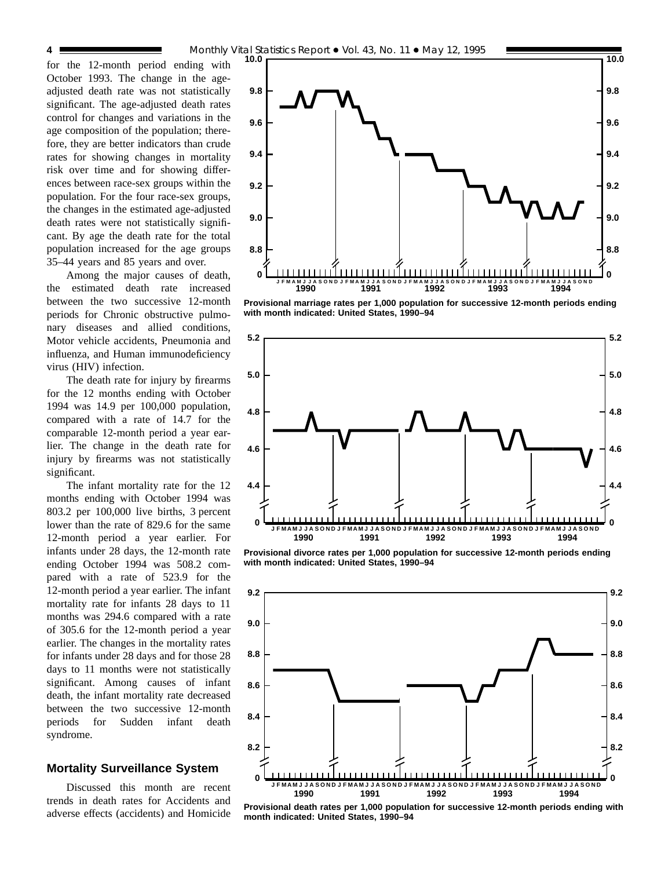for the 12-month period ending with October 1993. The change in the ageadjusted death rate was not statistically significant. The age-adjusted death rates control for changes and variations in the age composition of the population; therefore, they are better indicators than crude rates for showing changes in mortality risk over time and for showing differences between race-sex groups within the population. For the four race-sex groups, the changes in the estimated age-adjusted death rates were not statistically significant. By age the death rate for the total population increased for the age groups 35–44 years and 85 years and over.

Among the major causes of death, the estimated death rate increased between the two successive 12-month periods for Chronic obstructive pulmonary diseases and allied conditions, Motor vehicle accidents, Pneumonia and influenza, and Human immunodeficiency virus (HIV) infection.

The death rate for injury by firearms for the 12 months ending with October 1994 was 14.9 per 100,000 population, compared with a rate of 14.7 for the comparable 12-month period a year earlier. The change in the death rate for injury by firearms was not statistically significant.

The infant mortality rate for the 12 months ending with October 1994 was 803.2 per 100,000 live births, 3 percent lower than the rate of 829.6 for the same 12-month period a year earlier. For infants under 28 days, the 12-month rate ending October 1994 was 508.2 compared with a rate of 523.9 for the 12-month period a year earlier. The infant mortality rate for infants 28 days to 11 months was 294.6 compared with a rate of 305.6 for the 12-month period a year earlier. The changes in the mortality rates for infants under 28 days and for those 28 days to 11 months were not statistically significant. Among causes of infant death, the infant mortality rate decreased between the two successive 12-month periods for Sudden infant death syndrome.

## **Mortality Surveillance System**

Discussed this month are recent trends in death rates for Accidents and adverse effects (accidents) and Homicide



**Provisional marriage rates per 1,000 population for successive 12-month periods ending with month indicated: United States, 1990–94**



**Provisional divorce rates per 1,000 population for successive 12-month periods ending with month indicated: United States, 1990–94**



**Provisional death rates per 1,000 population for successive 12-month periods ending with month indicated: United States, 1990–94**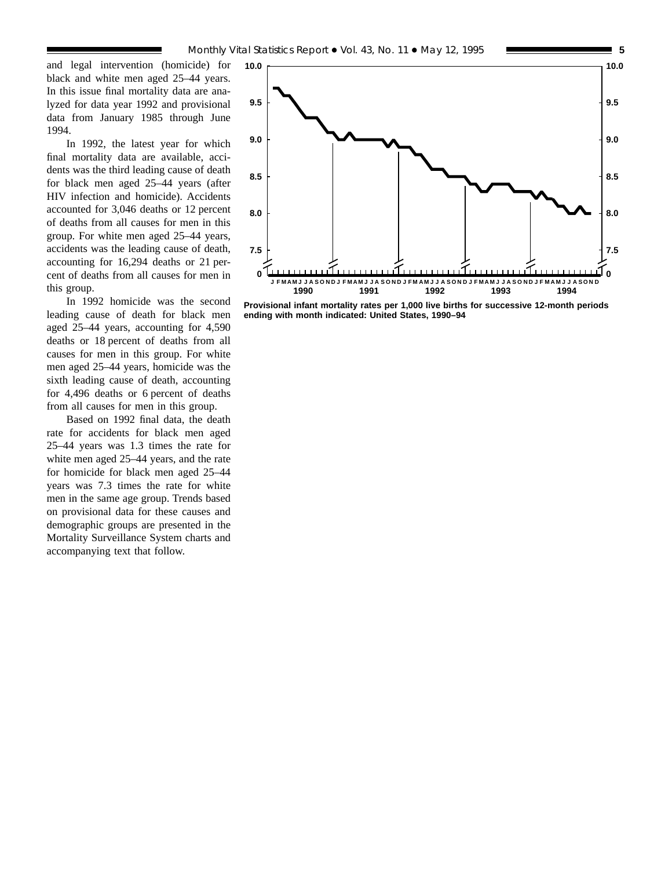and legal intervention (homicide) for black and white men aged 25–44 years. In this issue final mortality data are analyzed for data year 1992 and provisional data from January 1985 through June 1994.

In 1992, the latest year for which final mortality data are available, accidents was the third leading cause of death for black men aged 25–44 years (after HIV infection and homicide). Accidents accounted for 3,046 deaths or 12 percent of deaths from all causes for men in this group. For white men aged 25–44 years, accidents was the leading cause of death, accounting for 16,294 deaths or 21 percent of deaths from all causes for men in this group.

In 1992 homicide was the second leading cause of death for black men aged 25–44 years, accounting for 4,590 deaths or 18 percent of deaths from all causes for men in this group. For white men aged 25–44 years, homicide was the sixth leading cause of death, accounting for 4,496 deaths or 6 percent of deaths from all causes for men in this group.

Based on 1992 final data, the death rate for accidents for black men aged 25–44 years was 1.3 times the rate for white men aged 25–44 years, and the rate for homicide for black men aged 25–44 years was 7.3 times the rate for white men in the same age group. Trends based on provisional data for these causes and demographic groups are presented in the Mortality Surveillance System charts and accompanying text that follow.



**Provisional infant mortality rates per 1,000 live births for successive 12-month periods ending with month indicated: United States, 1990–94**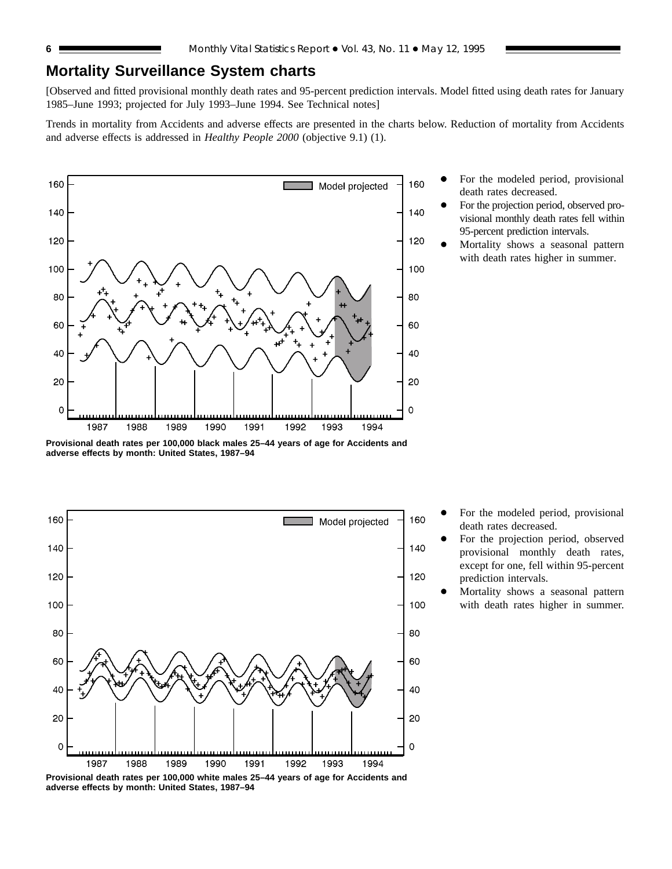## **Mortality Surveillance System charts**

[Observed and fitted provisional monthly death rates and 95-percent prediction intervals. Model fitted using death rates for January 1985–June 1993; projected for July 1993–June 1994. See Technical notes]

Trends in mortality from Accidents and adverse effects are presented in the charts below. Reduction of mortality from Accidents and adverse effects is addressed in *Healthy People 2000* (objective 9.1) (1).



- For the modeled period, provisional death rates decreased.
- For the projection period, observed provisional monthly death rates fell within 95-percent prediction intervals.
- Mortality shows a seasonal pattern with death rates higher in summer.

**Provisional death rates per 100,000 black males 25–44 years of age for Accidents and adverse effects by month: United States, 1987–94**



For the modeled period, provisional death rates decreased.

- For the projection period, observed provisional monthly death rates, except for one, fell within 95-percent prediction intervals.
- Mortality shows a seasonal pattern with death rates higher in summer.

**Provisional death rates per 100,000 white males 25–44 years of age for Accidents and adverse effects by month: United States, 1987–94**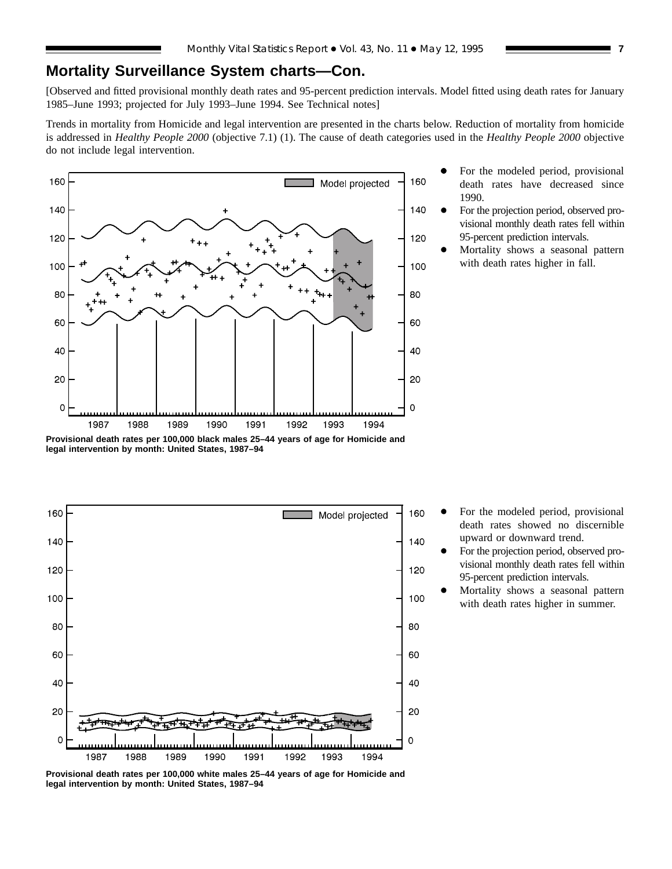## **Mortality Surveillance System charts—Con.**

[Observed and fitted provisional monthly death rates and 95-percent prediction intervals. Model fitted using death rates for January 1985–June 1993; projected for July 1993–June 1994. See Technical notes]

Trends in mortality from Homicide and legal intervention are presented in the charts below. Reduction of mortality from homicide is addressed in *Healthy People 2000* (objective 7.1) (1). The cause of death categories used in the *Healthy People 2000* objective do not include legal intervention.



- For the modeled period, provisional death rates have decreased since 1990.
- For the projection period, observed provisional monthly death rates fell within 95-percent prediction intervals.
- Mortality shows a seasonal pattern with death rates higher in fall.





- For the modeled period, provisional death rates showed no discernible upward or downward trend.
- For the projection period, observed provisional monthly death rates fell within 95-percent prediction intervals.
- Mortality shows a seasonal pattern with death rates higher in summer.

**Provisional death rates per 100,000 white males 25–44 years of age for Homicide and legal intervention by month: United States, 1987–94**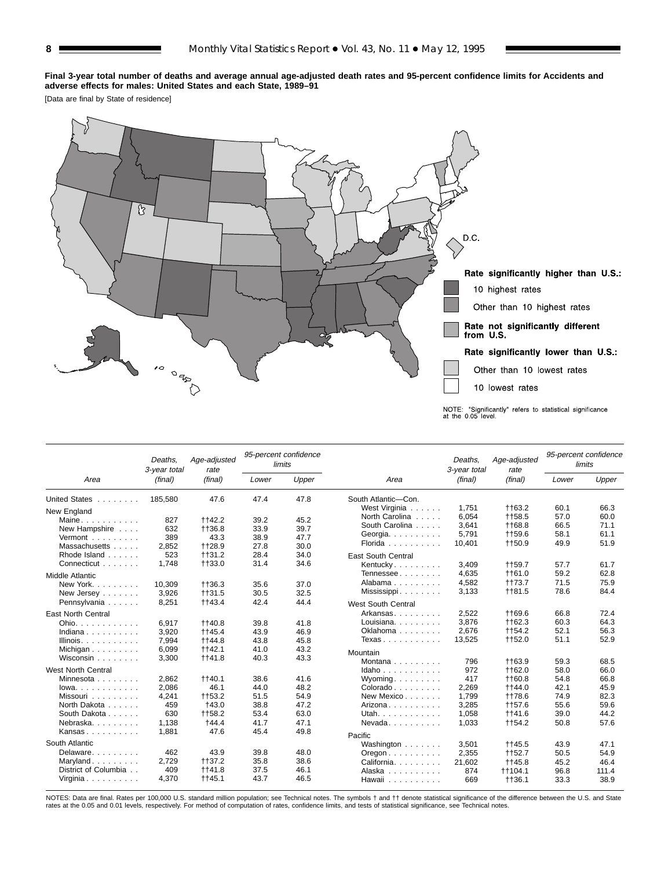#### **Final 3-year total number of deaths and average annual age-adjusted death rates and 95-percent confidence limits for Accidents and adverse effects for males: United States and each State, 1989–91**

[Data are final by State of residence]



|                           | Deaths.<br>3-year total | Age-adjusted<br>rate | limits | 95-percent confidence |                                          | Deaths.<br>3-year total | Age-adjusted<br>rate     |              | 95-percent confidence<br>limits |
|---------------------------|-------------------------|----------------------|--------|-----------------------|------------------------------------------|-------------------------|--------------------------|--------------|---------------------------------|
| Area                      | (final)                 | (final)              | Lower  | Upper                 | Area                                     | (final)                 | (final)                  | Lower        | Upper                           |
| United States             | 185,580                 | 47.6                 | 47.4   | 47.8                  | South Atlantic-Con.                      |                         |                          |              |                                 |
| New England               |                         |                      |        |                       | West Virginia                            | 1.751                   | <b>tt63.2</b>            | 60.1         | 66.3                            |
| Maine                     | 827                     | ++42.2               | 39.2   | 45.2                  | North Carolina                           | 6,054                   | ++58.5                   | 57.0         | 60.0                            |
| New Hampshire             | 632                     | ++36.8               | 33.9   | 39.7                  | South Carolina                           | 3,641                   | ++68.8                   | 66.5         | 71.1                            |
| Vermont                   | 389                     | 43.3                 | 38.9   | 47.7                  | Georgia.                                 | 5,791                   | <b>tt59.6</b>            | 58.1         | 61.1                            |
| Massachusetts             | 2,852                   | ++28.9               | 27.8   | 30.0                  | Florida                                  | 10,401                  | <b>tt50.9</b>            | 49.9         | 51.9                            |
| Rhode Island              | 523                     | $+131.2$             | 28.4   | 34.0                  | <b>East South Central</b>                |                         |                          |              |                                 |
| Connecticut               | 1,748                   | ++33.0               | 31.4   | 34.6                  | Kentucky                                 | 3,409                   | ++59.7                   | 57.7         | 61.7                            |
| <b>Middle Atlantic</b>    |                         |                      |        |                       | Tennessee                                | 4,635                   | <b>tt61.0</b>            | 59.2         | 62.8                            |
| New York.                 | 10.309                  | ++36.3               | 35.6   | 37.0                  | Alabama                                  | 4,582                   | <b>tt73.7</b>            | 71.5         | 75.9                            |
| New Jersey                | 3,926                   | ++31.5               | 30.5   | 32.5                  | Mississippi                              | 3,133                   | <b>tt81.5</b>            | 78.6         | 84.4                            |
| Pennsylvania              | 8,251                   | <b>tt43.4</b>        | 42.4   | 44.4                  |                                          |                         |                          |              |                                 |
|                           |                         |                      |        |                       | <b>West South Central</b>                |                         |                          |              |                                 |
| <b>East North Central</b> |                         |                      |        |                       | Arkansas                                 | 2.522                   | <b>tt69.6</b>            | 66.8         | 72.4                            |
| Ohio. $\ldots$ .          | 6.917                   | ++40.8               | 39.8   | 41.8                  | Louisiana.                               | 3,876                   | ++62.3                   | 60.3         | 64.3                            |
| Indiana                   | 3,920                   | ++45.4               | 43.9   | 46.9                  | Oklahoma                                 | 2,676                   | ++54.2                   | 52.1         | 56.3                            |
| Illinois. $\ldots$ .      | 7,994                   | ++44.8               | 43.8   | 45.8                  | Texas                                    | 13,525                  | ++52.0                   | 51.1         | 52.9                            |
| Michigan                  | 6,099                   | ++42.1               | 41.0   | 43.2                  | Mountain                                 |                         |                          |              |                                 |
| Wisconsin                 | 3,300                   | <b>tt41.8</b>        | 40.3   | 43.3                  | Montana                                  | 796                     | ++63.9                   | 59.3         | 68.5                            |
| <b>West North Central</b> |                         |                      |        |                       | Idaho                                    | 972                     | ++62.0                   | 58.0         | 66.0                            |
| Minnesota                 | 2,862                   | ++40.1               | 38.6   | 41.6                  | Wyoming.                                 | 417                     | ++60.8                   | 54.8         | 66.8                            |
| $lowa. \ldots. \ldots.$   | 2.086                   | 46.1                 | 44.0   | 48.2                  | Colorado                                 | 2,269                   | ++44.0                   | 42.1         | 45.9                            |
| Missouri                  | 4,241                   | ++53.2               | 51.5   | 54.9                  | New Mexico                               | 1,799                   | <b>tt78.6</b>            | 74.9         | 82.3                            |
| North Dakota              | 459                     | <b>+43.0</b>         | 38.8   | 47.2                  | Arizona                                  | 3,285                   | <b>tt57.6</b>            | 55.6         | 59.6                            |
| South Dakota              | 630                     | ++58.2               | 53.4   | 63.0                  | Utah.                                    | 1,058                   | <b>tt41.6</b>            | 39.0         | 44.2                            |
| Nebraska.                 | 1,138                   | <b>+44.4</b>         | 41.7   | 47.1                  | Nevada                                   | 1,033                   | <b>tt54.2</b>            | 50.8         | 57.6                            |
| Kansas                    | 1,881                   | 47.6                 | 45.4   | 49.8                  |                                          |                         |                          |              |                                 |
| South Atlantic            |                         |                      |        |                       | Pacific                                  |                         |                          |              | 47.1                            |
| Delaware.                 | 462                     | 43.9                 | 39.8   | 48.0                  | Washington                               | 3,501                   | ++45.5                   | 43.9         | 54.9                            |
| Maryland                  | 2,729                   | ++37.2               | 35.8   | 38.6                  | $O$ regon $\ldots$ , $\ldots$ , $\ldots$ | 2,355                   | ++52.7                   | 50.5         |                                 |
| District of Columbia      | 409                     | ++41.8               | 37.5   | 46.1                  | California.                              | 21,602                  | <b>tt45.8</b>            | 45.2         | 46.4                            |
| Virginia                  | 4,370                   | ++45.1               | 43.7   | 46.5                  | Alaska<br>Hawaii                         | 874<br>669              | <b>tt104.1</b><br>++36.1 | 96.8<br>33.3 | 111.4<br>38.9                   |

NOTES: Data are final. Rates per 100,000 U.S. standard million population; see Technical notes. The symbols † and †† denote statistical significance of the difference between the U.S. and State<br>rates at the 0.05 and 0.01 l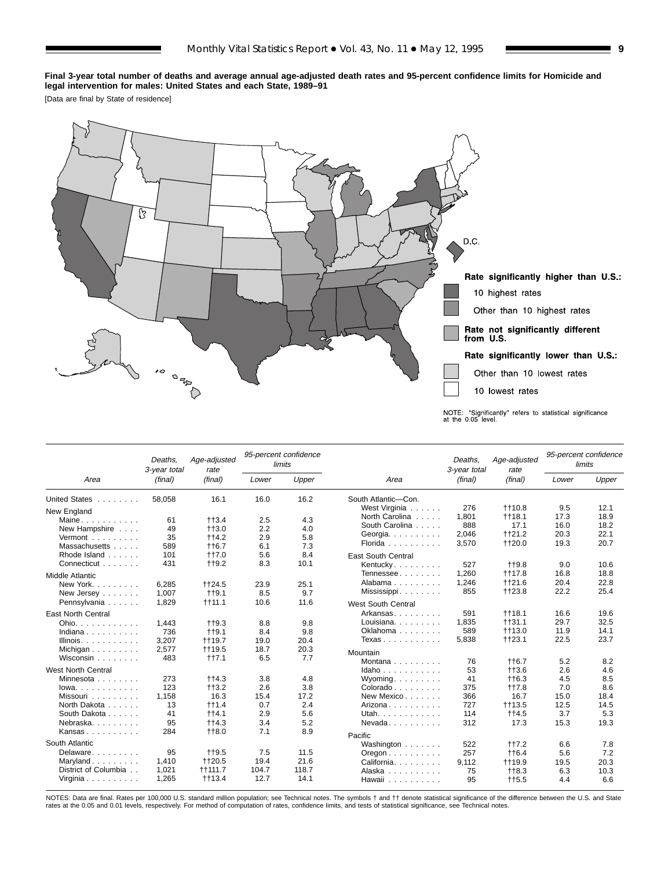#### **Final 3-year total number of deaths and average annual age-adjusted death rates and 95-percent confidence limits for Homicide and legal intervention for males: United States and each State, 1989–91**

[Data are final by State of residence]



|                           | Deaths.<br>3-year total | Age-adjusted<br>rate |             | 95-percent confidence<br>limits |                                        | Deaths.<br>3-year total | Age-adjusted<br>rate |       | 95-percent confidence<br>limits |
|---------------------------|-------------------------|----------------------|-------------|---------------------------------|----------------------------------------|-------------------------|----------------------|-------|---------------------------------|
| Area                      | (final)                 | (final)              | Lower       | Upper                           | Area                                   | (final)                 | (final)              | Lower | Upper                           |
| United States             | 58,058                  | 16.1                 | 16.0        | 16.2                            | South Atlantic-Con.                    |                         |                      |       |                                 |
| New England               |                         |                      |             |                                 | West Virginia                          | 276                     | <b>t</b> t10.8       | 9.5   | 12.1                            |
| Maine                     | 61                      | $+13.4$              | 2.5         | 4.3                             | North Carolina                         | 1,801                   | <b>t</b> 18.1        | 17.3  | 18.9                            |
| New Hampshire             | 49                      | $+13.0$              | 2.2         | 4.0                             | South Carolina                         | 888                     | 17.1                 | 16.0  | 18.2                            |
| Vermont $\ldots$          | 35                      | $+14.2$              | 2.9         | 5.8                             | Georgia.                               | 2.046                   | <b>tt21.2</b>        | 20.3  | 22.1                            |
| Massachusetts             | 589                     | $+16.7$              | 6.1         | 7.3                             | Florida                                | 3,570                   | ++20.0               | 19.3  | 20.7                            |
| Rhode Island              | 101                     | <b>++7.0</b>         | 5.6         | 8.4                             | <b>East South Central</b>              |                         |                      |       |                                 |
| Connecticut               | 431                     | $+19.2$              | 8.3         | 10.1                            | Kentucky.                              | 527                     | $+19.8$              | 9.0   | 10.6                            |
| Middle Atlantic           |                         |                      |             |                                 | Tennessee                              | 1,260                   | <b>t</b> t17.8       | 16.8  | 18.8                            |
|                           |                         |                      |             | 25.1                            | Alabama                                | 1,246                   | <b>tt21.6</b>        | 20.4  | 22.8                            |
| New York                  | 6,285<br>1.007          | ++24.5               | 23.9        | 9.7                             | Mississippi                            | 855                     | <b>tt23.8</b>        | 22.2  | 25.4                            |
| New Jersey                | 1.829                   | $+19.1$              | 8.5<br>10.6 | 11.6                            |                                        |                         |                      |       |                                 |
| Pennsylvania              |                         | $+111.1$             |             |                                 | <b>West South Central</b>              |                         |                      |       |                                 |
| <b>East North Central</b> |                         |                      |             |                                 | Arkansas                               | 591                     | $+118.1$             | 16.6  | 19.6                            |
| Ohio.                     | 1,443                   | $+19.3$              | 8.8         | 9.8                             | Louisiana.                             | 1,835                   | $+131.1$             | 29.7  | 32.5                            |
| Indiana                   | 736                     | $++9.1$              | 8.4         | 9.8                             | Oklahoma                               | 589                     | <b>tt13.0</b>        | 11.9  | 14.1                            |
| Illinois. $\ldots$ .      | 3,207                   | <b>tt19.7</b>        | 19.0        | 20.4                            | Texas                                  | 5,838                   | $+123.1$             | 22.5  | 23.7                            |
| Michigan                  | 2,577                   | <b>tt19.5</b>        | 18.7        | 20.3                            | Mountain                               |                         |                      |       |                                 |
| Wisconsin                 | 483                     | $++7.1$              | 6.5         | 7.7                             | Montana                                | 76                      | <b>tt6.7</b>         | 5.2   | 8.2                             |
| <b>West North Central</b> |                         |                      |             |                                 | Idaho                                  | 53                      | $+13.6$              | 2.6   | 4.6                             |
| Minnesota                 | 273                     | $+14.3$              | 3.8         | 4.8                             | Wyoming. $\ldots$                      | 41                      | $+16.3$              | 4.5   | 8.5                             |
| lowa.                     | 123                     | $+13.2$              | 2.6         | 3.8                             | $Colorado \ldots \ldots$               | 375                     | $+17.8$              | 7.0   | 8.6                             |
| Missouri                  | 1,158                   | 16.3                 | 15.4        | 17.2                            | New Mexico                             | 366                     | 16.7                 | 15.0  | 18.4                            |
| North Dakota              | 13                      | $+11.4$              | 0.7         | 2.4                             | Arizona                                | 727                     | <b>tt13.5</b>        | 12.5  | 14.5                            |
| South Dakota              | 41                      | $++4.1$              | 2.9         | 5.6                             | Utah.                                  | 114                     | $++4.5$              | 3.7   | 5.3                             |
| Nebraska                  | 95                      | $+14.3$              | 3.4         | 5.2                             | $N$ evada                              | 312                     | 17.3                 | 15.3  | 19.3                            |
| Kansas                    | 284                     | <b>++8.0</b>         | 7.1         | 8.9                             |                                        |                         |                      |       |                                 |
|                           |                         |                      |             |                                 | Pacific                                |                         |                      |       |                                 |
| South Atlantic            |                         |                      |             |                                 | Washington                             | 522                     | ++7.2                | 6.6   | 7.8                             |
| Delaware.                 | 95                      | $+19.5$              | 7.5         | 11.5                            | $O$ regon $\ldots$ $\ldots$ $\ldots$ . | 257                     | $+16.4$              | 5.6   | 7.2                             |
| Maryland                  | 1,410                   | ++20.5               | 19.4        | 21.6                            | California.                            | 9.112                   | <b>t</b> +19.9       | 19.5  | 20.3                            |
| District of Columbia      | 1,021                   | $+1111.7$            | 104.7       | 118.7                           | Alaska                                 | 75                      | $+18.3$              | 6.3   | 10.3                            |
| Virginia                  | 1.265                   | $+13.4$              | 12.7        | 14.1                            | Hawaii                                 | 95                      | $+15.5$              | 4.4   | 6.6                             |

NOTES: Data are final. Rates per 100,000 U.S. standard million population; see Technical notes. The symbols † and †† denote statistical significance of the difference between the U.S. and State<br>rates at the 0.05 and 0.01 l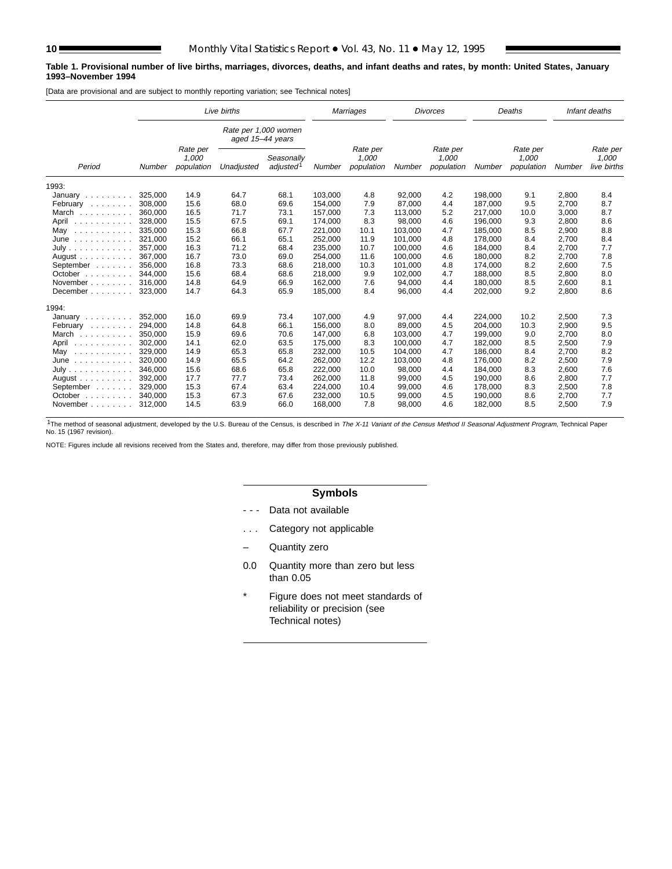#### **Table 1. Provisional number of live births, marriages, divorces, deaths, and infant deaths and rates, by month: United States, January 1993–November 1994**

[Data are provisional and are subject to monthly reporting variation; see Technical notes]

| Rate per 1,000 women<br>aged 15-44 years<br>Rate per<br>Rate per<br>Rate per<br>Rate per<br>1,000<br>1,000<br>1,000<br>1,000<br>Seasonally<br>adjusted <sup>1</sup><br>Period<br>population<br>population<br>population<br>population<br><b>Number</b><br>Unadjusted<br>Number<br>Number<br>Number<br>Number<br>1993:<br>325.000<br>64.7<br>68.1<br>103.000<br>4.8<br>92,000<br>4.2<br>14.9<br>198.000<br>9.1<br>2,800<br>January $\ldots$ , $\ldots$<br>15.6<br>7.9<br>2,700<br>308,000<br>68.0<br>69.6<br>154,000<br>87,000<br>4.4<br>187,000<br>9.5<br>February<br>and a state of the<br>16.5<br>71.7<br>7.3<br>5.2<br>3,000<br>360,000<br>73.1<br>157,000<br>113,000<br>217.000<br>10.0<br>March<br>15.5<br>67.5<br>69.1<br>4.6<br>328,000<br>174,000<br>8.3<br>98,000<br>196,000<br>9.3<br>2,800<br>April<br>.<br>15.3<br>66.8<br>67.7<br>4.7<br>2,900<br>335,000<br>221,000<br>10.1<br>103,000<br>185,000<br>8.5<br>May<br>.<br>15.2<br>66.1<br>65.1<br>4.8<br>2,700<br>321.000<br>252,000<br>11.9<br>101.000<br>178.000<br>8.4<br>June<br>.<br>16.3<br>2,700<br>357,000<br>71.2<br>68.4<br>235,000<br>10.7<br>100,000<br>4.6<br>184,000<br>8.4<br>July |                              | Live births |      |         | <b>Marriages</b> |         | <b>Divorces</b> |         | Deaths |       | Infant deaths                    |
|---------------------------------------------------------------------------------------------------------------------------------------------------------------------------------------------------------------------------------------------------------------------------------------------------------------------------------------------------------------------------------------------------------------------------------------------------------------------------------------------------------------------------------------------------------------------------------------------------------------------------------------------------------------------------------------------------------------------------------------------------------------------------------------------------------------------------------------------------------------------------------------------------------------------------------------------------------------------------------------------------------------------------------------------------------------------------------------------------------------------------------------------------------------|------------------------------|-------------|------|---------|------------------|---------|-----------------|---------|--------|-------|----------------------------------|
|                                                                                                                                                                                                                                                                                                                                                                                                                                                                                                                                                                                                                                                                                                                                                                                                                                                                                                                                                                                                                                                                                                                                                               |                              |             |      |         |                  |         |                 |         |        |       |                                  |
|                                                                                                                                                                                                                                                                                                                                                                                                                                                                                                                                                                                                                                                                                                                                                                                                                                                                                                                                                                                                                                                                                                                                                               |                              |             |      |         |                  |         |                 |         |        |       | Rate per<br>1,000<br>live births |
|                                                                                                                                                                                                                                                                                                                                                                                                                                                                                                                                                                                                                                                                                                                                                                                                                                                                                                                                                                                                                                                                                                                                                               |                              |             |      |         |                  |         |                 |         |        |       |                                  |
|                                                                                                                                                                                                                                                                                                                                                                                                                                                                                                                                                                                                                                                                                                                                                                                                                                                                                                                                                                                                                                                                                                                                                               |                              |             |      |         |                  |         |                 |         |        |       | 8.4                              |
|                                                                                                                                                                                                                                                                                                                                                                                                                                                                                                                                                                                                                                                                                                                                                                                                                                                                                                                                                                                                                                                                                                                                                               |                              |             |      |         |                  |         |                 |         |        |       | 8.7                              |
|                                                                                                                                                                                                                                                                                                                                                                                                                                                                                                                                                                                                                                                                                                                                                                                                                                                                                                                                                                                                                                                                                                                                                               |                              |             |      |         |                  |         |                 |         |        |       | 8.7                              |
|                                                                                                                                                                                                                                                                                                                                                                                                                                                                                                                                                                                                                                                                                                                                                                                                                                                                                                                                                                                                                                                                                                                                                               |                              |             |      |         |                  |         |                 |         |        |       | 8.6                              |
|                                                                                                                                                                                                                                                                                                                                                                                                                                                                                                                                                                                                                                                                                                                                                                                                                                                                                                                                                                                                                                                                                                                                                               |                              |             |      |         |                  |         |                 |         |        |       | 8.8                              |
|                                                                                                                                                                                                                                                                                                                                                                                                                                                                                                                                                                                                                                                                                                                                                                                                                                                                                                                                                                                                                                                                                                                                                               |                              |             |      |         |                  |         |                 |         |        |       | 8.4                              |
|                                                                                                                                                                                                                                                                                                                                                                                                                                                                                                                                                                                                                                                                                                                                                                                                                                                                                                                                                                                                                                                                                                                                                               |                              |             |      |         |                  |         |                 |         |        |       | 7.7                              |
| 367.000<br>73.0                                                                                                                                                                                                                                                                                                                                                                                                                                                                                                                                                                                                                                                                                                                                                                                                                                                                                                                                                                                                                                                                                                                                               | August $\ldots$ , $\ldots$ , | 16.7        | 69.0 | 254.000 | 11.6             | 100.000 | 4.6             | 180.000 | 8.2    | 2.700 | 7.8                              |
| 16.8<br>73.3<br>218,000<br>2,600<br>356,000<br>68.6<br>10.3<br>101,000<br>4.8<br>174,000<br>8.2<br>September                                                                                                                                                                                                                                                                                                                                                                                                                                                                                                                                                                                                                                                                                                                                                                                                                                                                                                                                                                                                                                                  |                              |             |      |         |                  |         |                 |         |        |       | 7.5                              |
| 15.6<br>9.9<br>2.800<br>344.000<br>68.4<br>68.6<br>218.000<br>102.000<br>4.7<br>188.000<br>8.5<br>October $\ldots$ , $\ldots$                                                                                                                                                                                                                                                                                                                                                                                                                                                                                                                                                                                                                                                                                                                                                                                                                                                                                                                                                                                                                                 |                              |             |      |         |                  |         |                 |         |        |       | 8.0                              |
| 14.8<br>64.9<br>66.9<br>162,000<br>7.6<br>4.4<br>8.5<br>2,600<br>November<br>316,000<br>94,000<br>180.000                                                                                                                                                                                                                                                                                                                                                                                                                                                                                                                                                                                                                                                                                                                                                                                                                                                                                                                                                                                                                                                     |                              |             |      |         |                  |         |                 |         |        |       | 8.1                              |
| 14.7<br>64.3<br>65.9<br>8.4<br>96,000<br>4.4<br>9.2<br>2,800<br>323,000<br>185,000<br>202,000<br>December                                                                                                                                                                                                                                                                                                                                                                                                                                                                                                                                                                                                                                                                                                                                                                                                                                                                                                                                                                                                                                                     |                              |             |      |         |                  |         |                 |         |        |       | 8.6                              |
| 1994:                                                                                                                                                                                                                                                                                                                                                                                                                                                                                                                                                                                                                                                                                                                                                                                                                                                                                                                                                                                                                                                                                                                                                         |                              |             |      |         |                  |         |                 |         |        |       |                                  |
| 69.9<br>107,000<br>4.9<br>97,000<br>10.2<br>2,500<br>352,000<br>16.0<br>73.4<br>4.4<br>224,000<br>January $\ldots \ldots$                                                                                                                                                                                                                                                                                                                                                                                                                                                                                                                                                                                                                                                                                                                                                                                                                                                                                                                                                                                                                                     |                              |             |      |         |                  |         |                 |         |        |       | 7.3                              |
| 4.5<br>2,900<br>294.000<br>14.8<br>64.8<br>66.1<br>156.000<br>8.0<br>89,000<br>204,000<br>10.3<br>February                                                                                                                                                                                                                                                                                                                                                                                                                                                                                                                                                                                                                                                                                                                                                                                                                                                                                                                                                                                                                                                    |                              |             |      |         |                  |         |                 |         |        |       | 9.5                              |
| 6.8<br>350,000<br>15.9<br>69.6<br>70.6<br>147,000<br>103,000<br>4.7<br>2,700<br>March<br>199,000<br>9.0<br>a da da da da da                                                                                                                                                                                                                                                                                                                                                                                                                                                                                                                                                                                                                                                                                                                                                                                                                                                                                                                                                                                                                                   |                              |             |      |         |                  |         |                 |         |        |       | 8.0                              |
| 8.3<br>14.1<br>62.0<br>63.5<br>175.000<br>4.7<br>8.5<br>2,500<br>302.000<br>100,000<br>182,000<br>April<br>.                                                                                                                                                                                                                                                                                                                                                                                                                                                                                                                                                                                                                                                                                                                                                                                                                                                                                                                                                                                                                                                  |                              |             |      |         |                  |         |                 |         |        |       | 7.9                              |
| 65.3<br>14.9<br>65.8<br>232,000<br>10.5<br>104,000<br>4.7<br>186,000<br>2,700<br>329,000<br>8.4<br>May<br>.                                                                                                                                                                                                                                                                                                                                                                                                                                                                                                                                                                                                                                                                                                                                                                                                                                                                                                                                                                                                                                                   |                              |             |      |         |                  |         |                 |         |        |       | 8.2                              |
| 64.2<br>320.000<br>14.9<br>65.5<br>262.000<br>12.2<br>4.8<br>176.000<br>8.2<br>2,500<br>103.000<br>June<br>a dia dia dia dia dia                                                                                                                                                                                                                                                                                                                                                                                                                                                                                                                                                                                                                                                                                                                                                                                                                                                                                                                                                                                                                              |                              |             |      |         |                  |         |                 |         |        |       | 7.9                              |
| 15.6<br>68.6<br>65.8<br>222,000<br>4.4<br>8.3<br>2,600<br>July<br>346.000<br>10.0<br>98,000<br>184,000                                                                                                                                                                                                                                                                                                                                                                                                                                                                                                                                                                                                                                                                                                                                                                                                                                                                                                                                                                                                                                                        |                              |             |      |         |                  |         |                 |         |        |       | 7.6                              |
| 17.7<br>77.7<br>4.5<br>2,800<br>392,000<br>73.4<br>262,000<br>11.8<br>99,000<br>190,000<br>8.6<br>August                                                                                                                                                                                                                                                                                                                                                                                                                                                                                                                                                                                                                                                                                                                                                                                                                                                                                                                                                                                                                                                      |                              |             |      |         |                  |         |                 |         |        |       | 7.7                              |
| 15.3<br>67.4<br>63.4<br>4.6<br>2,500<br>September<br>329.000<br>224,000<br>10.4<br>99,000<br>178,000<br>8.3                                                                                                                                                                                                                                                                                                                                                                                                                                                                                                                                                                                                                                                                                                                                                                                                                                                                                                                                                                                                                                                   |                              |             |      |         |                  |         |                 |         |        |       | 7.8                              |
| 15.3<br>67.3<br>67.6<br>4.5<br>2,700<br>340.000<br>232,000<br>10.5<br>99,000<br>190,000<br>8.6<br>October $\ldots$ , $\ldots$                                                                                                                                                                                                                                                                                                                                                                                                                                                                                                                                                                                                                                                                                                                                                                                                                                                                                                                                                                                                                                 |                              |             |      |         |                  |         |                 |         |        |       | 7.7                              |
| 14.5<br>63.9<br>7.8<br>4.6<br>2,500<br>66.0<br>168,000<br>98,000<br>182,000<br>8.5<br>November<br>312,000                                                                                                                                                                                                                                                                                                                                                                                                                                                                                                                                                                                                                                                                                                                                                                                                                                                                                                                                                                                                                                                     |                              |             |      |         |                  |         |                 |         |        |       | 7.9                              |

<sup>1</sup>The method of seasonal adjustment, developed by the U.S. Bureau of the Census, is described in The X-11 Variant of the Census Method II Seasonal Adjustment Program, Technical Paper<br>No. 15 (1967 revision).

NOTE: Figures include all revisions received from the States and, therefore, may differ from those previously published.

### **Symbols**

- - Data not available
- . . . Category not applicable
- Quantity zero
- 0.0 Quantity more than zero but less than 0.05
- \* Figure does not meet standards of reliability or precision (see Technical notes)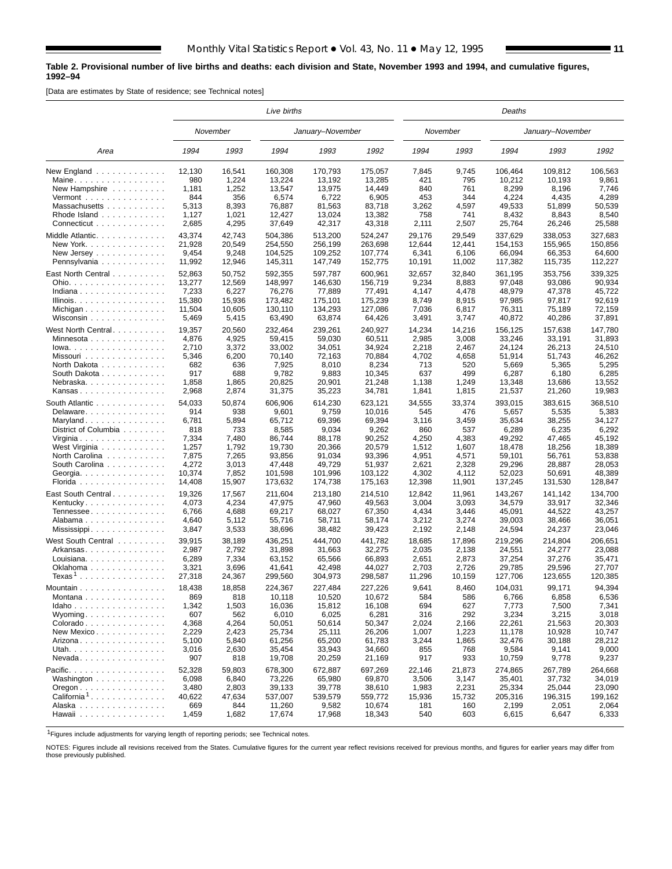#### **Table 2. Provisional number of live births and deaths: each division and State, November 1993 and 1994, and cumulative figures, 1992–94**

[Data are estimates by State of residence; see Technical notes]

|                                                                 |               |                 | Live births       |                   |                   |               |               | Deaths            |                   |                  |
|-----------------------------------------------------------------|---------------|-----------------|-------------------|-------------------|-------------------|---------------|---------------|-------------------|-------------------|------------------|
|                                                                 |               | November        |                   | January-November  |                   |               | November      |                   | January-November  |                  |
| Area                                                            | 1994          | 1993            | 1994              | 1993              | 1992              | 1994          | 1993          | 1994              | 1993              | 1992             |
| New England<br>Maine.                                           | 12.130<br>980 | 16,541<br>1,224 | 160,308<br>13,224 | 170,793<br>13.192 | 175,057<br>13,285 | 7,845<br>421  | 9,745<br>795  | 106,464<br>10,212 | 109.812<br>10,193 | 106,563<br>9,861 |
| New Hampshire                                                   | 1,181         | 1,252           | 13,547            | 13,975            | 14,449            | 840           | 761           | 8,299             | 8,196             | 7,746            |
| $Vermont$                                                       | 844           | 356             | 6,574             | 6,722             | 6,905             | 453           | 344           | 4,224             | 4,435             | 4,289            |
| Massachusetts                                                   | 5,313         | 8,393           | 76,887            | 81,563            | 83,718            | 3,262         | 4,597         | 49,533            | 51,899            | 50,539           |
| Rhode Island                                                    | 1,127         | 1,021           | 12,427            | 13,024            | 13,382            | 758           | 741           | 8,432             | 8,843             | 8,540            |
| Connecticut                                                     | 2,685         | 4,295           | 37,649            | 42,317            | 43,318            | 2,111         | 2,507         | 25,764            | 26,246            | 25,588           |
|                                                                 |               |                 |                   |                   |                   |               |               |                   |                   |                  |
| Middle Atlantic.                                                | 43,374        | 42,743          | 504,386           | 513,200           | 524,247           | 29,176        | 29,549        | 337,629           | 338,053           | 327,683          |
| New York.                                                       | 21,928        | 20,549          | 254,550           | 256,199           | 263,698           | 12,644        | 12,441        | 154,153           | 155,965           | 150,856          |
| New Jersey $\ldots$ $\ldots$ $\ldots$ $\ldots$ .                | 9,454         | 9,248           | 104,525           | 109,252           | 107,774           | 6,341         | 6,106         | 66,094            | 66,353            | 64,600           |
| Pennsylvania                                                    | 11,992        | 12,946          | 145,311           | 147,749           | 152,775           | 10,191        | 11,002        | 117,382           | 115,735           | 112,227          |
| East North Central                                              | 52,863        | 50,752          | 592,355           | 597,787           | 600,961           | 32,657        | 32,840        | 361,195           | 353,756           | 339,325          |
| Ohio.                                                           | 13,277        | 12,569          | 148,997           | 146,630           | 156,719           | 9,234         | 8,883         | 97,048            | 93,086            | 90,934           |
| Indiana                                                         | 7,233         | 6,227           | 76,276            | 77,889            | 77,491            | 4,147         | 4,478         | 48,979            | 47,378            | 45,722           |
| Illinois.                                                       | 15,380        | 15,936          | 173,482           | 175,101           | 175,239           | 8,749         | 8,915         | 97,985            | 97,817            | 92,619           |
| Michigan                                                        | 11,504        | 10,605          | 130,110           | 134,293           | 127,086           | 7,036         | 6,817         | 76,311            | 75,189            | 72,159           |
| Wisconsin                                                       | 5,469         | 5,415           | 63,490            | 63,874            | 64,426            | 3,491         | 3,747         | 40,872            | 40,286            | 37,891           |
| West North Central                                              | 19,357        | 20,560          | 232.464           | 239,261           | 240,927           | 14,234        | 14,216        | 156,125           | 157.638           | 147,780          |
| Minnesota                                                       | 4,876         | 4,925           | 59,415            | 59,030            | 60,511            | 2,985         | 3,008         | 33,246            | 33,191            | 31,893           |
| $Iowa.$                                                         | 2,710         | 3,372           | 33,002            | 34,051            | 34,924            | 2,218         | 2,467         | 24,124            | 26.213            | 24,510           |
| Missouri                                                        | 5,346         | 6,200           | 70,140            | 72,163            | 70,884            | 4,702         | 4,658         | 51,914            | 51,743            | 46,262           |
| North Dakota                                                    | 682           | 636             | 7,925             | 8,010             | 8,234             | 713           | 520           | 5,669             | 5,365             | 5,295            |
| South Dakota                                                    | 917           | 688             | 9,782             | 9,883             | 10,345            | 637           | 499           | 6,287             | 6,180             | 6,285            |
| Nebraska.                                                       | 1,858         | 1,865           | 20,825            | 20,901            | 21,248            | 1,138         | 1,249         | 13,348            | 13,686            | 13,552           |
| Kansas                                                          | 2,968         | 2,874           | 31,375            | 35,223            | 34,781            | 1,841         | 1,815         | 21,537            | 21,260            | 19,983           |
|                                                                 |               |                 |                   |                   |                   |               |               |                   |                   |                  |
| South Atlantic<br>Delaware                                      | 54,033<br>914 | 50,874<br>938   | 606,906<br>9,601  | 614,230           | 623,121           | 34,555<br>545 | 33,374<br>476 | 393.015<br>5,657  | 383,615           | 368,510          |
|                                                                 |               |                 |                   | 9,759             | 10,016            |               |               |                   | 5,535             | 5,383            |
| Maryland                                                        | 6,781         | 5,894           | 65,712            | 69,396            | 69,394            | 3,116         | 3,459         | 35,634            | 38,255            | 34,127           |
| District of Columbia                                            | 818           | 733             | 8,585             | 9,034             | 9,262             | 860           | 537           | 6,289             | 6,235             | 6,292            |
| Virginia                                                        | 7,334         | 7,480           | 86,744            | 88,178            | 90,252            | 4,250         | 4,383         | 49,292            | 47,465            | 45,192           |
| West Virginia                                                   | 1,257         | 1,792           | 19,730            | 20,366            | 20,579            | 1,512         | 1,607         | 18,478            | 18,256            | 18,389           |
| North Carolina                                                  | 7,875         | 7,265           | 93,856            | 91,034            | 93,396            | 4,951         | 4,571         | 59,101            | 56,761            | 53,838           |
| South Carolina                                                  | 4,272         | 3,013           | 47,448            | 49,729            | 51,937            | 2,621         | 2,328         | 29,296            | 28,887            | 28,053           |
| Georgia.                                                        | 10,374        | 7,852           | 101,598           | 101,996           | 103,122           | 4,302         | 4,112         | 52,023            | 50,691            | 48,389           |
| Florida                                                         | 14,408        | 15,907          | 173,632           | 174,738           | 175,163           | 12,398        | 11,901        | 137,245           | 131,530           | 128,847          |
| East South Central                                              | 19,326        | 17,567          | 211,604           | 213,180           | 214,510           | 12,842        | 11,961        | 143,267           | 141,142           | 134,700          |
| Kentucky                                                        | 4,073         | 4,234           | 47,975            | 47,960            | 49,563            | 3,004         | 3,093         | 34,579            | 33,917            | 32,346           |
| Tennessee                                                       | 6,766         | 4,688           | 69,217            | 68,027            | 67,350            | 4,434         | 3,446         | 45,091            | 44,522            | 43,257           |
| Alabama                                                         | 4,640         | 5,112           | 55,716            | 58,711            | 58,174            | 3,212         | 3,274         | 39,003            | 38,466            | 36,051           |
| Mississippi                                                     | 3,847         | 3,533           | 38,696            | 38,482            | 39,423            | 2,192         | 2,148         | 24,594            | 24,237            | 23,046           |
| West South Central ........                                     | 39,915        | 38,189          | 436,251           | 444,700           | 441,782           | 18,685        | 17,896        | 219,296           | 214,804           | 206,651          |
| Arkansas                                                        | 2,987         | 2,792           | 31,898            | 31,663            | 32,275            | 2,035         | 2,138         | 24,551            | 24,277            | 23,088           |
| Louisiana                                                       | 6,289         | 7,334           | 63,152            | 65,566            | 66,893            | 2,651         | 2,873         | 37,254            | 37,276            | 35,471           |
| Oklahoma                                                        | 3,321         | 3,696           | 41,641            | 42,498            | 44,027            | 2,703         | 2,726         | 29,785            | 29,596            | 27,707           |
| ${\sf Texas^1}$                                                 | 27,318        | 24,367          | 299,560           | 304,973           | 298,587           | 11,296        | 10,159        | 127,706           | 123,655           | 120,385          |
| Mountain                                                        | 18,438        | 18,858          | 224.367           | 227,484           | 227,226           | 9,641         | 8,460         | 104,031           | 99,171            | 94,394           |
| Montana                                                         | 869           | 818             | 10,118            | 10,520            | 10,672            | 584           | 586           | 6,766             | 6,858             | 6,536            |
| Idaho                                                           | 1,342         | 1,503           | 16,036            | 15,812            | 16,108            | 694           | 627           | 7,773             | 7,500             | 7,341            |
| Wyoming                                                         | 607           | 562             | 6,010             | 6,025             | 6,281             | 316           | 292           | 3,234             | 3,215             | 3,018            |
| Colorado                                                        | 4,368         | 4,264           | 50,051            | 50,614            | 50,347            | 2,024         | 2,166         | 22,261            | 21,563            | 20,303           |
| New Mexico                                                      | 2,229         | 2,423           | 25,734            | 25,111            | 26,206            | 1,007         | 1,223         | 11,178            | 10,928            | 10,747           |
| Arizona                                                         | 5,100         | 5,840           | 61,256            | 65,200            | 61,783            | 3,244         | 1,865         | 32,476            | 30,188            | 28,212           |
| Utah.                                                           | 3,016         | 2,630           | 35,454            | 33,943            | 34,660            | 855           | 768           | 9,584             | 9,141             | 9,000            |
| $N$ evada                                                       | 907           | 818             | 19,708            | 20,259            | 21,169            | 917           | 933           | 10,759            | 9,778             | 9,237            |
|                                                                 |               |                 |                   |                   |                   |               |               |                   |                   |                  |
| Pacific.                                                        | 52,328        | 59,803          | 678,300           | 672,887           | 697,269           | 22,146        | 21,873        | 274,865           | 267,789           | 264,668          |
| Washington                                                      | 6,098         | 6,840           | 73,226            | 65,980            | 69,870            | 3,506         | 3,147         | 35,401            | 37,732            | 34,019           |
| $O$ regon $\ldots$ $\ldots$ $\ldots$ $\ldots$ $\ldots$ $\ldots$ | 3,480         | 2,803           | 39,133            | 39,778            | 38,610            | 1,983         | 2,231         | 25,334            | 25,044            | 23,090           |
| California <sup>1</sup>                                         | 40,622        | 47,634          | 537,007           | 539,579           | 559,772           | 15,936        | 15,732        | 205,316           | 196,315           | 199,162          |
| Alaska                                                          | 669           | 844             | 11,260            | 9,582             | 10,674            | 181           | 160           | 2,199             | 2,051             | 2,064            |
| Hawaii                                                          | 1,459         | 1,682           | 17,674            | 17,968            | 18,343            | 540           | 603           | 6,615             | 6,647             | 6,333            |
|                                                                 |               |                 |                   |                   |                   |               |               |                   |                   |                  |

1Figures include adjustments for varying length of reporting periods; see Technical notes.

NOTES: Figures include all revisions received from the States. Cumulative figures for the current year reflect revisions received for previous months, and figures for earlier years may differ from those previously published.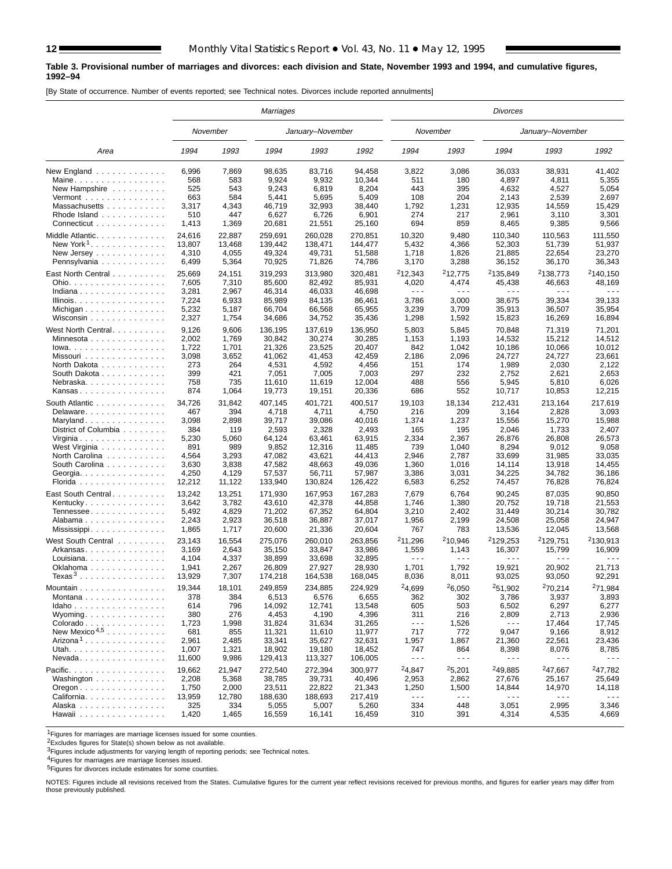#### **Table 3. Provisional number of marriages and divorces: each division and State, November 1993 and 1994, and cumulative figures, 1992–94**

[By State of occurrence. Number of events reported; see Technical notes. Divorces include reported annulments]

|                                                |        |          | Marriages |                  |         |                      |                     | <b>Divorces</b>      |                      |                      |
|------------------------------------------------|--------|----------|-----------|------------------|---------|----------------------|---------------------|----------------------|----------------------|----------------------|
|                                                |        | November |           | January-November |         |                      | November            |                      | January-November     |                      |
| Area                                           | 1994   | 1993     | 1994      | 1993             | 1992    | 1994                 | 1993                | 1994                 | 1993                 | 1992                 |
| New England                                    | 6,996  | 7,869    | 98,635    | 83,716           | 94,458  | 3,822                | 3,086               | 36,033               | 38,931               | 41.402               |
| Maine                                          | 568    | 583      | 9,924     | 9,932            | 10,344  | 511                  | 180                 | 4,897                | 4,811                | 5,355                |
| New Hampshire $\ldots$ ,                       | 525    | 543      | 9,243     | 6,819            | 8,204   | 443                  | 395                 | 4,632                | 4,527                | 5,054                |
| Vermont $\ldots \ldots \ldots \ldots$          | 663    | 584      | 5,441     | 5,695            | 5,409   | 108                  | 204                 | 2,143                | 2,539                | 2,697                |
| Massachusetts                                  | 3,317  | 4,343    | 46,719    | 32,993           | 38,440  | 1,792                | 1,231               | 12,935               | 14,559               | 15,429               |
| Rhode Island                                   | 510    | 447      | 6,627     | 6,726            | 6,901   | 274                  | 217                 | 2,961                | 3,110                | 3,301                |
| Connecticut                                    | 1,413  | 1,369    | 20,681    | 21,551           | 25,160  | 694                  | 859                 | 8,465                | 9,385                | 9,566                |
| Middle Atlantic.                               | 24,616 | 22,887   | 259,691   | 260,028          | 270,851 | 10,320               | 9,480               | 110,340              | 110,563              | 111,550              |
| New York <sup>1</sup> .                        | 13,807 | 13,468   | 139.442   | 138,471          | 144,477 | 5,432                | 4,366               | 52,303               | 51,739               | 51,937               |
| New Jersey                                     | 4,310  | 4,055    | 49,324    | 49,731           | 51,588  | 1,718                | 1,826               | 21,885               | 22,654               | 23,270               |
| Pennsylvania                                   | 6,499  | 5,364    | 70,925    | 71,826           | 74,786  | 3,170                | 3,288               | 36,152               | 36,170               | 36,343               |
|                                                |        |          |           |                  |         |                      |                     |                      |                      |                      |
| East North Central                             | 25,669 | 24,151   | 319,293   | 313,980          | 320,481 | 212,343              | <sup>2</sup> 12.775 | <sup>2</sup> 135.849 | <sup>2</sup> 138.773 | <sup>2</sup> 140,150 |
| Ohio.                                          | 7,605  | 7,310    | 85,600    | 82,492           | 85,931  | 4,020                | 4,474               | 45,438               | 46,663               | 48,169               |
| Indiana                                        | 3,281  | 2,967    | 46,314    | 46,033           | 46,698  | $\sim$ $\sim$ $\sim$ | $- - -$             | $\sim$ $\sim$ $\sim$ | $\sim$ $\sim$ $\sim$ |                      |
| Illinois.                                      | 7,224  | 6,933    | 85,989    | 84,135           | 86,461  | 3,786                | 3,000               | 38,675               | 39,334               | 39,133               |
| Michigan                                       | 5,232  | 5,187    | 66,704    | 66,568           | 65,955  | 3,239                | 3,709               | 35,913               | 36,507               | 35,954               |
| Wisconsin                                      | 2,327  | 1,754    | 34,686    | 34,752           | 35,436  | 1,298                | 1,592               | 15,823               | 16,269               | 16,894               |
| West North Central                             | 9,126  | 9,606    | 136,195   | 137,619          | 136,950 | 5,803                | 5,845               | 70,848               | 71,319               | 71,201               |
| Minnesota                                      | 2,002  | 1,769    | 30,842    | 30,274           | 30,285  | 1,153                | 1,193               | 14,532               | 15,212               | 14,512               |
| Iowa.                                          | 1,722  | 1,701    | 21,326    | 23,525           | 20,407  | 842                  | 1,042               | 10,186               | 10,066               | 10,012               |
| Missouri                                       | 3,098  | 3,652    | 41,062    | 41,453           | 42,459  | 2,186                | 2,096               | 24,727               | 24,727               | 23,661               |
| North Dakota                                   | 273    | 264      | 4,531     | 4,592            | 4,456   | 151                  | 174                 | 1,989                | 2,030                | 2,122                |
| South Dakota                                   | 399    | 421      | 7,051     | 7,005            | 7,003   | 297                  | 232                 | 2,752                | 2,621                | 2,653                |
| Nebraska                                       | 758    | 735      | 11,610    | 11,619           | 12,004  | 488                  | 556                 | 5,945                | 5,810                | 6,026                |
| Kansas                                         | 874    | 1,064    | 19,773    | 19,151           | 20,336  | 686                  | 552                 | 10,717               | 10,853               | 12,215               |
| South Atlantic                                 | 34,726 | 31,842   | 407.145   | 401,721          | 400,517 | 19,103               | 18,134              | 212,431              | 213,164              | 217,619              |
| Delaware.                                      | 467    | 394      | 4,718     | 4,711            | 4,750   | 216                  | 209                 | 3,164                | 2,828                | 3,093                |
| Maryland                                       | 3,098  | 2,898    | 39,717    | 39,086           | 40,016  | 1,374                | 1,237               | 15,556               | 15,270               | 15,988               |
| District of Columbia                           | 384    | 119      | 2,593     | 2,328            | 2,493   | 165                  | 195                 | 2,046                | 1,733                | 2,407                |
| Virginia                                       | 5,230  | 5,060    | 64,124    | 63,461           | 63,915  | 2,334                | 2,367               | 26,876               | 26,808               | 26,573               |
| West Virginia                                  | 891    | 989      | 9,852     | 12,316           | 11,485  | 739                  | 1,040               | 8,294                | 9,012                | 9,058                |
| North Carolina                                 | 4,564  | 3,293    | 47,082    | 43,621           | 44,413  | 2,946                | 2,787               | 33,699               | 31,985               | 33,035               |
| South Carolina                                 | 3,630  | 3,838    | 47,582    | 48,663           | 49,036  | 1,360                | 1,016               | 14,114               | 13,918               | 14,455               |
| Georgia.                                       | 4,250  | 4,129    | 57,537    | 56,711           | 57,987  | 3,386                | 3,031               | 34,225               | 34,782               | 36,186               |
| Florida                                        | 12,212 | 11,122   | 133,940   | 130,824          | 126,422 | 6,583                | 6,252               | 74,457               | 76,828               | 76,824               |
|                                                |        |          |           |                  |         |                      |                     |                      |                      |                      |
| East South Central                             | 13,242 | 13,251   | 171,930   | 167,953          | 167,283 | 7,679                | 6,764               | 90,245               | 87,035               | 90,850               |
| Kentucky                                       | 3,642  | 3,782    | 43,610    | 42,378           | 44,858  | 1,746                | 1,380               | 20,752               | 19,718               | 21,553               |
| Tennessee                                      | 5,492  | 4,829    | 71,202    | 67,352           | 64,804  | 3,210                | 2,402               | 31,449               | 30,214               | 30,782               |
| Alabama                                        | 2,243  | 2,923    | 36,518    | 36,887           | 37,017  | 1,956                | 2,199               | 24,508               | 25,058               | 24,947               |
|                                                | 1,865  | 1,717    | 20,600    | 21,336           | 20,604  | 767                  | 783                 | 13,536               | 12,045               | 13,568               |
| West South Central                             | 23,143 | 16,554   | 275,076   | 260,010          | 263,856 | 211,296              | <sup>2</sup> 10,946 | <sup>2</sup> 129,253 | <sup>2</sup> 129,751 | <sup>2</sup> 130,913 |
| Arkansas                                       | 3,169  | 2,643    | 35,150    | 33,847           | 33,986  | 1,559                | 1,143               | 16,307               | 15,799               | 16,909               |
| Louisiana                                      | 4,104  | 4,337    | 38,899    | 33,698           | 32,895  | $\sim$ $\sim$ $\sim$ | $- - -$             | .                    | $\sim$ $\sim$ $\sim$ | $\sim$ $\sim$ $\sim$ |
| Oklahoma                                       | 1,941  | 2,267    | 26,809    | 27,927           | 28,930  | 1,701                | 1,792               | 19,921               | 20,902               | 21,713               |
| Texas <sup>3</sup>                             | 13,929 | 7,307    | 174,218   | 164,538          | 168,045 | 8,036                | 8,011               | 93,025               | 93,050               | 92,291               |
| Mountain                                       | 19,344 | 18,101   | 249,859   | 234,885          | 224,929 | 24,699               | 26,050              | <sup>2</sup> 51,902  | <sup>2</sup> 70,214  | 271.984              |
| Montana                                        | 378    | 384      | 6,513     | 6,576            | 6,655   | 362                  | 302                 | 3,786                | 3,937                | 3,893                |
| $Idaho$                                        | 614    | 796      | 14,092    | 12,741           | 13,548  | 605                  | 503                 | 6,502                | 6,297                | 6,277                |
| Wyoming                                        | 380    | 276      | 4,453     | 4,190            | 4,396   | 311                  | 216                 | 2,809                | 2,713                | 2,936                |
| Colorado                                       | 1,723  | 1,998    | 31,824    | 31,634           | 31,265  | $\sim$ $\sim$ $\sim$ | 1,526               | $\sim$ $\sim$ $\sim$ | 17,464               | 17,745               |
| New Mexico <sup><math>4,5</math></sup>         | 681    | 855      | 11,321    | 11,610           | 11,977  | 717                  | 772                 | 9,047                | 9,166                | 8,912                |
| $Arizona1$                                     | 2,961  | 2,485    | 33,341    | 35,627           | 32,631  | 1,957                | 1,867               | 21,360               | 22,561               | 23,436               |
| Utah.                                          | 1,007  | 1,321    | 18,902    | 19,180           | 18,452  | 747                  | 864                 | 8,398                | 8,076                | 8,785                |
| $N$ evada                                      | 11,600 | 9,986    | 129,413   | 113,327          | 106,005 | $\sim$ $\sim$ $\sim$ | $- - -$             | $- - -$              | $\sim$ $\sim$ $\sim$ |                      |
|                                                |        |          |           |                  |         |                      |                     |                      |                      |                      |
| Pacific.                                       | 19,662 | 21,947   | 272,540   | 272,394          | 300.977 | 24,847               | 25,201              | <sup>2</sup> 49.885  | <sup>2</sup> 47,667  | 247.782              |
| Washington                                     | 2,208  | 5,368    | 38,785    | 39,731           | 40,496  | 2,953                | 2,862               | 27,676               | 25.167               | 25,649               |
| $O$ regon $\ldots \ldots \ldots \ldots \ldots$ | 1,750  | 2,000    | 23,511    | 22,822           | 21,343  | 1,250                | 1,500               | 14,844               | 14,970               | 14,118               |
| California                                     | 13,959 | 12,780   | 188,630   | 188,693          | 217,419 | $\sim$ $\sim$ $\sim$ | - - -               | $\sim$ $\sim$ $\sim$ | $\sim$ $\sim$ $\sim$ | $\sim$ $\sim$ $\sim$ |
| Alaska                                         | 325    | 334      | 5,055     | 5,007            | 5,260   | 334                  | 448                 | 3,051                | 2,995                | 3,346                |
| Hawaii                                         | 1,420  | 1,465    | 16,559    | 16,141           | 16,459  | 310                  | 391                 | 4,314                | 4,535                | 4,669                |

1Figures for marriages are marriage licenses issued for some counties.

2Excludes figures for State(s) shown below as not available.

**3Figures include adjustments for varying length of reporting periods; see Technical notes.** 

4Figures for marriages are marriage licenses issued.

**5Figures for divorces include estimates for some counties.** 

NOTES: Figures include all revisions received from the States. Cumulative figures for the current year reflect revisions received for previous months, and figures for earlier years may differ from those previously published.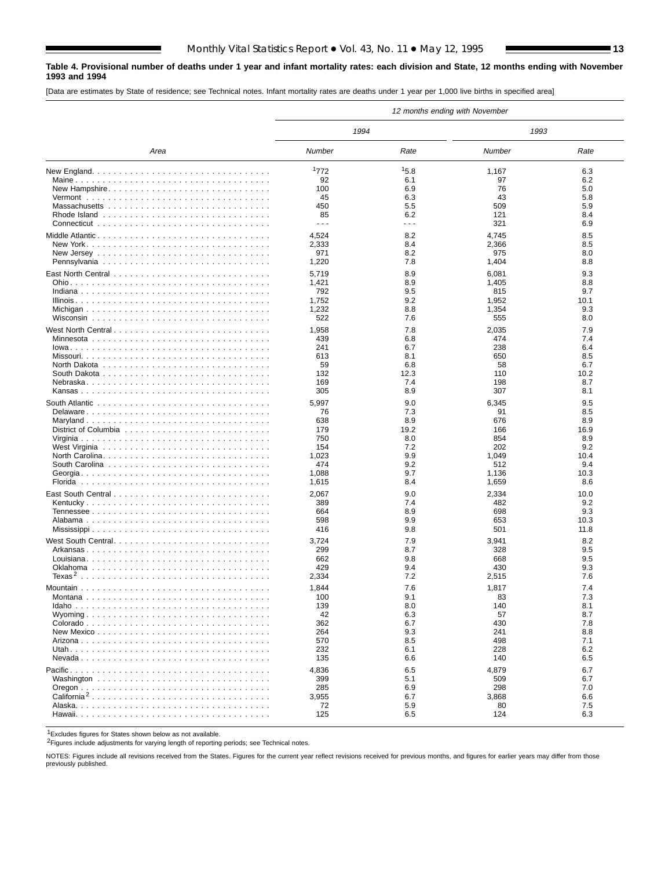### **Table 4. Provisional number of deaths under 1 year and infant mortality rates: each division and State, 12 months ending with November 1993 and 1994**

[Data are estimates by State of residence; see Technical notes. Infant mortality rates are deaths under 1 year per 1,000 live births in specified area]

|                                                                                      |                      |                      | 12 months ending with November |              |
|--------------------------------------------------------------------------------------|----------------------|----------------------|--------------------------------|--------------|
|                                                                                      | 1994                 |                      | 1993                           |              |
| Area                                                                                 | Number               | Rate                 | Number                         | Rate         |
| New England. $\ldots \ldots \ldots \ldots \ldots \ldots \ldots \ldots \ldots \ldots$ | 1772                 | 15.8                 | 1,167                          | 6.3          |
|                                                                                      | 92                   | 6.1                  | 97                             | 6.2          |
| New Hampshire                                                                        | 100                  | 6.9                  | 76                             | 5.0          |
|                                                                                      | 45                   | 6.3                  | 43                             | 5.8          |
|                                                                                      | 450                  | 5.5                  | 509                            | 5.9          |
|                                                                                      | 85                   | 6.2                  | 121                            | 8.4          |
|                                                                                      | $\sim$ $\sim$ $\sim$ | $\sim$ $\sim$ $\sim$ | 321                            | 6.9          |
| Middle Atlantic                                                                      | 4,524                | 8.2                  | 4,745                          | 8.5          |
|                                                                                      | 2,333                | 8.4                  | 2,366                          | 8.5          |
|                                                                                      | 971                  | 8.2                  | 975                            | 8.0          |
|                                                                                      | 1,220                | 7.8                  | 1,404                          | 8.8          |
|                                                                                      | 5,719                | 8.9                  | 6,081                          | 9.3          |
|                                                                                      | 1,421                | 8.9                  | 1,405                          | 8.8          |
|                                                                                      | 792                  | 9.5                  | 815                            | 9.7          |
|                                                                                      | 1,752                | 9.2                  | 1,952                          | 10.1         |
|                                                                                      | 1,232                | 8.8                  | 1,354                          | 9.3          |
|                                                                                      | 522                  | 7.6                  | 555                            | 8.0          |
|                                                                                      |                      |                      |                                |              |
| West North Central                                                                   | 1,958                | 7.8                  | 2,035                          | 7.9          |
| Minnesota                                                                            | 439                  | 6.8                  | 474                            | 7.4<br>6.4   |
|                                                                                      | 241<br>613           | 6.7                  | 238                            | 8.5          |
|                                                                                      |                      | 8.1<br>6.8           | 650                            | 6.7          |
|                                                                                      | 59<br>132            | 12.3                 | 58<br>110                      | 10.2         |
|                                                                                      | 169                  | 7.4                  | 198                            | 8.7          |
|                                                                                      | 305                  | 8.9                  | 307                            | 8.1          |
|                                                                                      |                      |                      |                                |              |
|                                                                                      | 5,997                | 9.0                  | 6,345                          | 9.5          |
| Delaware                                                                             | 76                   | 7.3                  | 91                             | 8.5          |
|                                                                                      | 638                  | 8.9                  | 676                            | 8.9          |
|                                                                                      | 179<br>750           | 19.2                 | 166                            | 16.9         |
|                                                                                      | 154                  | 8.0<br>7.2           | 854<br>202                     | 8.9<br>9.2   |
| North Carolina                                                                       | 1,023                | 9.9                  | 1,049                          | 10.4         |
|                                                                                      | 474                  | 9.2                  | 512                            | 9.4          |
|                                                                                      | 1,088                | 9.7                  | 1,136                          | 10.3         |
|                                                                                      | 1,615                | 8.4                  | 1,659                          | 8.6          |
|                                                                                      |                      |                      |                                |              |
|                                                                                      | 2,067                | 9.0                  | 2,334                          | 10.0         |
|                                                                                      | 389                  | 7.4                  | 482                            | 9.2          |
|                                                                                      | 664<br>598           | 8.9<br>9.9           | 698                            | 9.3          |
|                                                                                      | 416                  | 9.8                  | 653<br>501                     | 10.3<br>11.8 |
|                                                                                      |                      |                      |                                |              |
| West South Central                                                                   | 3,724                | 7.9                  | 3,941                          | 8.2          |
|                                                                                      | 299                  | 8.7                  | 328                            | 9.5          |
|                                                                                      | 662                  | 9.8                  | 668                            | 9.5          |
|                                                                                      | 429                  | 9.4                  | 430                            | 9.3          |
|                                                                                      | 2,334                | 7.2                  | 2,515                          | 7.6          |
|                                                                                      | 1,844                | 7.6                  | 1,817                          | 7.4          |
|                                                                                      | 100                  | 9.1                  | 83                             | 7.3          |
|                                                                                      | 139                  | 8.0                  | 140                            | 8.1          |
|                                                                                      | 42                   | 6.3                  | 57                             | 8.7          |
|                                                                                      | 362                  | 6.7                  | 430                            | 7.8          |
|                                                                                      | 264                  | 9.3                  | 241                            | 8.8          |
|                                                                                      | 570                  | 8.5                  | 498                            | 7.1          |
|                                                                                      | 232                  | 6.1                  | 228                            | 6.2          |
|                                                                                      | 135                  | 6.6                  | 140                            | 6.5          |
|                                                                                      | 4,836                | 6.5                  | 4,879                          | 6.7          |
|                                                                                      | 399                  | 5.1                  | 509                            | 6.7          |
|                                                                                      | 285                  | 6.9                  | 298                            | 7.0          |
|                                                                                      | 3,955                | 6.7                  | 3,868                          | 6.6          |
|                                                                                      | 72                   | 5.9                  | 80                             | 7.5          |
|                                                                                      | 125                  | 6.5                  | 124                            | 6.3          |

1Excludes figures for States shown below as not available.

2Figures include adjustments for varying length of reporting periods; see Technical notes.

NOTES: Figures include all revisions received from the States. Figures for the current year reflect revisions received for previous months, and figures for earlier years may differ from those previously published.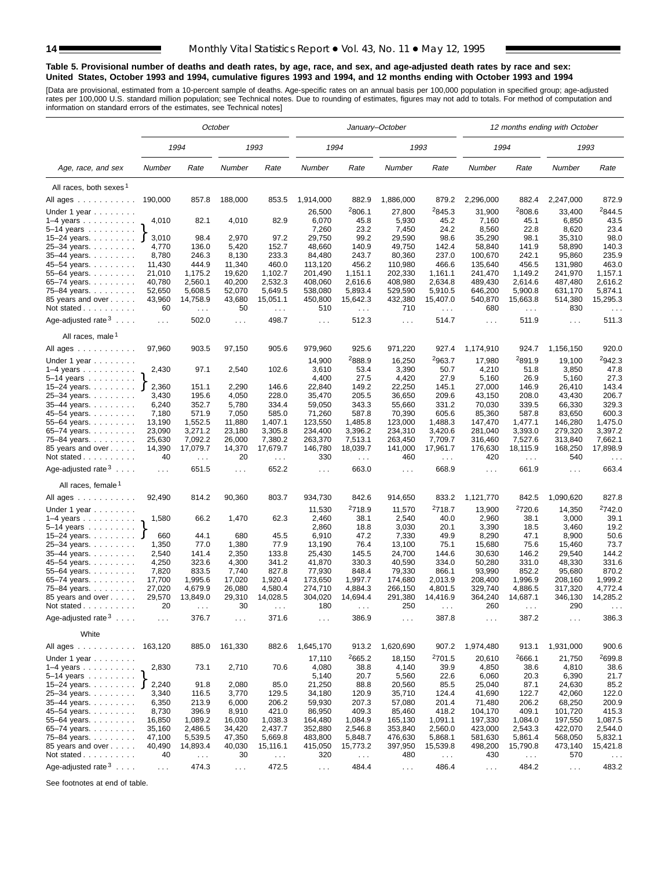#### **Table 5. Provisional number of deaths and death rates, by age, race, and sex, and age-adjusted death rates by race and sex: United States, October 1993 and 1994, cumulative figures 1993 and 1994, and 12 months ending with October 1993 and 1994**

[Data are provisional, estimated from a 10-percent sample of deaths. Age-specific rates on an annual basis per 100,000 population in specified group; age-adjusted<br>rates per 100,000 U.S. standard million population; see Tec

|                                                                |                     |                                  | October          |                      |                    |                           | January-October    |                                  |                      |                                  | 12 months ending with October |                                  |
|----------------------------------------------------------------|---------------------|----------------------------------|------------------|----------------------|--------------------|---------------------------|--------------------|----------------------------------|----------------------|----------------------------------|-------------------------------|----------------------------------|
|                                                                |                     | 1994                             |                  | 1993                 | 1994               |                           | 1993               |                                  | 1994                 |                                  | 1993                          |                                  |
| Age, race, and sex                                             | Number              | Rate                             | Number           | Rate                 | Number             | Rate                      | Number             | Rate                             | Number               | Rate                             | Number                        | Rate                             |
| All races, both sexes <sup>1</sup>                             |                     |                                  |                  |                      |                    |                           |                    |                                  |                      |                                  |                               |                                  |
| All ages                                                       | 190,000             | 857.8                            | 188,000          | 853.5                | 1,914,000          | 882.9                     | 1,886,000          | 879.2                            | 2,296,000            | 882.4                            | 2,247,000                     | 872.9                            |
| Under 1 year                                                   |                     |                                  |                  |                      | 26,500             | <sup>2</sup> 806.1        | 27,800             | 2845.3                           | 31,900               | <sup>2</sup> 808.6               | 33,400                        | <sup>2</sup> 844.5               |
| $1-4$ years                                                    | 4,010               | 82.1                             | 4,010            | 82.9                 | 6,070              | 45.8                      | 5,930              | 45.2                             | 7,160                | 45.1                             | 6,850                         | 43.5                             |
| $5-14$ years $\ldots \ldots$                                   |                     |                                  |                  |                      | 7,260              | 23.2                      | 7,450              | 24.2                             | 8,560                | 22.8                             | 8,620                         | 23.4                             |
| 15-24 years.                                                   | 3,010<br>J          | 98.4                             | 2,970            | 97.2                 | 29,750             | 99.2                      | 29,590             | 98.6                             | 35,290               | 98.1                             | 35,310                        | 98.0                             |
| 25-34 years.                                                   | 4,770               | 136.0                            | 5,420            | 152.7                | 48,660             | 140.9                     | 49,750             | 142.4                            | 58,840               | 141.9                            | 58,890                        | 140.3                            |
| 35-44 years.                                                   | 8,780               | 246.3                            | 8,130            | 233.3                | 84,480             | 243.7                     | 80,360             | 237.0                            | 100,670              | 242.1                            | 95,860                        | 235.9                            |
| 45-54 years.                                                   | 11,430              | 444.9                            | 11,340           | 460.0                | 113,120            | 456.2                     | 110,980            | 466.6                            | 135,640              | 456.5                            | 131,980                       | 463.0                            |
| 55-64 years.                                                   | 21,010              | 1,175.2                          | 19,620           | 1,102.7              | 201,490            | 1,151.1                   | 202,330            | 1,161.1                          | 241,470              | 1,149.2                          | 241,970                       | 1,157.1                          |
| 65-74 years.                                                   | 40,780              | 2,560.1<br>5,608.5               | 40,200<br>52,070 | 2,532.3              | 408,060            | 2,616.6<br>5,893.4        | 408,980            | 2,634.8                          | 489,430              | 2,614.6<br>5,900.8               | 487,480                       | 2,616.2<br>5,874.1               |
| 75-84 years.<br>85 years and over                              | 52,650<br>43,960    | 14,758.9                         | 43,680           | 5,649.5<br>15,051.1  | 538,080<br>450,800 | 15,642.3                  | 529,590<br>432,380 | 5,910.5<br>15,407.0              | 646,200<br>540,870   | 15,663.8                         | 631,170<br>514,380            | 15,295.3                         |
| Not stated $\ldots$                                            | 60                  | $\sim 100$                       | 50               | $\cdots$             | 510                | $\ldots$                  | 710                | $\sim 100$                       | 680                  | $\sim$ $\sim$ $\sim$             | 830                           | $\cdots$                         |
|                                                                |                     |                                  |                  | 498.7                |                    |                           |                    |                                  |                      |                                  |                               |                                  |
| Age-adjusted rate <sup>3</sup><br>All races, male <sup>1</sup> | $\ldots$            | 502.0                            | $\ldots$         |                      | $\sim 100$         | 512.3                     | $\sim 100$         | 514.7                            | $\sim$ $\sim$ $\sim$ | 511.9                            | $\sim 100$                    | 511.3                            |
|                                                                |                     |                                  |                  |                      |                    |                           |                    |                                  |                      |                                  |                               |                                  |
| All ages                                                       | 97,960              | 903.5                            | 97,150           | 905.6                | 979,960            | 925.6                     | 971,220            | 927.4                            | 1,174,910            | 924.7                            | 1,156,150                     | 920.0                            |
| Under 1 year                                                   |                     |                                  |                  |                      | 14,900             | 2888.9                    | 16,250             | 2963.7                           | 17,980               | 2891.9                           | 19,100                        | <sup>2</sup> 942.3               |
| $1-4$ years                                                    | 2,430               | 97.1                             | 2,540            | 102.6                | 3,610              | 53.4                      | 3,390              | 50.7                             | 4,210                | 51.8                             | 3,850                         | 47.8                             |
| $5-14$ years $\ldots$                                          |                     |                                  |                  |                      | 4,400              | 27.5                      | 4,420              | 27.9                             | 5,160                | 26.9                             | 5,160                         | 27.3                             |
| 15-24 years.                                                   | 2,360<br>J<br>3,430 | 151.1<br>195.6                   | 2,290<br>4,050   | 146.6<br>228.0       | 22,840<br>35,470   | 149.2<br>205.5            | 22,250<br>36,650   | 145.1<br>209.6                   | 27,000<br>43,150     | 146.9<br>208.0                   | 26,410<br>43.430              | 143.4<br>206.7                   |
| 25-34 years.<br>35-44 years.                                   | 6,240               | 352.7                            | 5,780            | 334.4                | 59,050             | 343.3                     | 55,660             | 331.2                            | 70,030               | 339.5                            | 66,330                        | 329.3                            |
| 45–54 years                                                    | 7,180               | 571.9                            | 7,050            | 585.0                | 71,260             | 587.8                     | 70,390             | 605.6                            | 85,360               | 587.8                            | 83,650                        | 600.3                            |
| 55-64 years.                                                   | 13,190              | 1,552.5                          | 11,880           | 1,407.1              | 123,550            | 1,485.8                   | 123,000            | 1,488.3                          | 147,470              | 1,477.1                          | 146,280                       | 1,475.0                          |
| 65-74 years.                                                   | 23,090              | 3,271.2                          | 23,180           | 3,305.8              | 234,400            | 3,396.2                   | 234,310            | 3,420.6                          | 281,040              | 3,393.0                          | 279,320                       | 3,397.2                          |
| 75-84 years.                                                   | 25,630              | 7,092.2                          | 26,000           | 7,380.2              | 263,370            | 7,513.1                   | 263,450            | 7,709.7                          | 316,460              | 7,527.6                          | 313,840                       | 7,662.1                          |
| 85 years and over<br>Not stated                                | 14,390<br>40        | 17,079.7<br>$\sim$ $\sim$ $\sim$ | 14,370<br>20     | 17,679.7<br>$\sim$ . | 146,780<br>330     | 18,039.7<br>$\sim$ $\sim$ | 141,000<br>460     | 17,961.7<br>$\sim$ $\sim$ $\sim$ | 176,630<br>420       | 18,115.9<br>$\sim$ $\sim$ $\sim$ | 168,250<br>540                | 17,898.9<br>$\sim$ $\sim$ $\sim$ |
| Age-adjusted rate $3 \ldots$ .                                 | $\ldots$            | 651.5                            | $\ldots$         | 652.2                | $\sim 100$         | 663.0                     | $\ldots$           | 668.9                            | $\ldots$             | 661.9                            | $\cdots$                      | 663.4                            |
| All races, female <sup>1</sup>                                 |                     |                                  |                  |                      |                    |                           |                    |                                  |                      |                                  |                               |                                  |
| All ages                                                       | 92,490              | 814.2                            | 90,360           | 803.7                | 934,730            | 842.6                     | 914,650            | 833.2                            | 1,121,770            | 842.5                            | 1,090,620                     | 827.8                            |
| Under 1 year                                                   |                     |                                  |                  |                      | 11,530             | <sup>2</sup> 718.9        | 11,570             | <sup>2</sup> 718.7               | 13,900               | <sup>2</sup> 720.6               | 14,350                        | <sup>2</sup> 742.0               |
| $1-4$ years $\ldots$ $\ldots$ $\ldots$ .                       | 1,580               | 66.2                             | 1,470            | 62.3                 | 2,460              | 38.1                      | 2,540              | 40.0                             | 2,960                | 38.1                             | 3,000                         | 39.1                             |
| 5–14 years $\ldots$                                            |                     |                                  |                  |                      | 2,860              | 18.8                      | 3,030              | 20.1                             | 3,390                | 18.5                             | 3,460                         | 19.2                             |
| 15-24 years.                                                   | 660                 | 44.1                             | 680              | 45.5                 | 6,910              | 47.2                      | 7,330              | 49.9                             | 8,290                | 47.1                             | 8,900                         | 50.6                             |
| 25-34 years.                                                   | 1,350               | 77.0                             | 1,380            | 77.9                 | 13,190             | 76.4                      | 13,100             | 75.1                             | 15,680               | 75.6                             | 15,460                        | 73.7                             |
| 35-44 years.                                                   | 2,540               | 141.4                            | 2,350            | 133.8                | 25,430             | 145.5                     | 24,700             | 144.6                            | 30,630               | 146.2                            | 29,540                        | 144.2                            |
| 45–54 years                                                    | 4,250               | 323.6                            | 4,300            | 341.2                | 41,870             | 330.3                     | 40,590             | 334.0                            | 50,280               | 331.0                            | 48,330                        | 331.6                            |
| 55-64 years.                                                   | 7,820<br>17,700     | 833.5<br>1,995.6                 | 7,740<br>17,020  | 827.8<br>1,920.4     | 77,930<br>173,650  | 848.4<br>1,997.7          | 79,330<br>174,680  | 866.1<br>2,013.9                 | 93,990<br>208,400    | 852.2<br>1,996.9                 | 95,680<br>208,160             | 870.2<br>1,999.2                 |
| 65-74 years.<br>75–84 years.                                   | 27,020              | 4,679.9                          | 26,080           | 4,580.4              | 274,710            | 4,884.3                   | 266,150            | 4,801.5                          | 329,740              | 4,886.5                          | 317,320                       | 4,772.4                          |
| 85 years and over                                              | 29,570              | 13,849.0                         | 29,310           | 14,028.5             | 304,020            | 14,694.4                  | 291,380            | 14,416.9                         | 364,240              | 14,687.1                         | 346,130                       | 14,285.2                         |
| Not stated $\ldots$                                            | 20                  |                                  | 30               |                      | 180                |                           | 250                |                                  | 260                  |                                  | 290                           |                                  |
| Age-adjusted rate $3 \ldots$ .                                 | $\cdots$            | 376.7                            | $\sim$ .         | 371.6                | $\sim$ $\sim$      | 386.9                     | $\sim$ $\sim$      | 387.8                            | $\sim$ $\sim$        | 387.2                            | $\sim$ $\sim$                 | 386.3                            |
| White                                                          |                     |                                  |                  |                      |                    |                           |                    |                                  |                      |                                  |                               |                                  |
| All ages                                                       | 163,120             | 885.0                            | 161,330          | 882.6                | 1,645,170          | 913.2                     | 1,620,690          | 907.2                            | 1,974,480            | 913.1                            | 1,931,000                     | 900.6                            |
| Under 1 year $\ldots \ldots$                                   |                     |                                  |                  |                      | 17,110             | 2665.2                    | 18,150             | <sup>2</sup> 701.5               | 20,610               | 2666.1                           | 21,750                        | 2699.8                           |
| $1-4$ years<br>$5-14$ years $\ldots$                           | 2,830               | 73.1                             | 2,710            | 70.6                 | 4,080<br>5,140     | 38.8<br>20.7              | 4,140<br>5,560     | 39.9<br>22.6                     | 4,850<br>6,060       | 38.6<br>20.3                     | 4,810<br>6,390                | 38.6<br>21.7                     |
| 15–24 years. $\bigcup$                                         | 2,240               | 91.8                             | 2,080            | 85.0                 | 21,250             | 88.8                      | 20,560             | 85.5                             | 25,040               | 87.1                             | 24,630                        | 85.2                             |
| 25-34 years.                                                   | 3,340               | 116.5                            | 3,770            | 129.5                | 34,180             | 120.9                     | 35,710             | 124.4                            | 41,690               | 122.7                            | 42,060                        | 122.0                            |
| 35-44 years.                                                   | 6,350               | 213.9                            | 6,000            | 206.2                | 59,930             | 207.3                     | 57,080             | 201.4                            | 71,480               | 206.2                            | 68,250                        | 200.9                            |
| 45-54 years.                                                   | 8,730               | 396.9                            | 8,910            | 421.0                | 86,950             | 409.3                     | 85,460             | 418.2                            | 104,170              | 409.1                            | 101,720                       | 415.3                            |
| 55-64 years.                                                   | 16,850              | 1,089.2                          | 16,030           | 1,038.3              | 164,480            | 1,084.9                   | 165,130            | 1,091.1                          | 197,330              | 1,084.0                          | 197,550                       | 1,087.5                          |
| 65-74 years.                                                   | 35,160              | 2,486.5                          | 34,420           | 2,437.7              | 352,880            | 2,546.8                   | 353,840            | 2,560.0                          | 423,000              | 2,543.3                          | 422,070                       | 2,544.0                          |
| 75-84 years.                                                   | 47,100              | 5,539.5                          | 47,350           | 5,669.8              | 483,800            | 5,848.7                   | 476,630            | 5,868.1                          | 581,630              | 5,861.4                          | 568,050                       | 5,832.1                          |
| 85 years and over                                              | 40,490              | 14,893.4                         | 40,030           | 15,116.1             | 415,050            | 15,773.2                  | 397,950            | 15,539.8                         | 498,200              | 15,790.8                         | 473,140                       | 15,421.8                         |
| Not stated                                                     | 40                  | $\sim$ $\sim$                    | 30               | $\epsilon \sim 1$    | 320                | $\sim$ $\sim$             | 480                | $\sim$ $\sim$                    | 430                  | $\sim$ $\sim$                    | 570                           | $\sim$ $\sim$                    |
| Age-adjusted rate $3 \ldots$ .                                 | $\sim$ $\sim$       | 474.3                            | $\sim$ $\sim$    | 472.5                | $\sim 100$         | 484.4                     | $\sim$ $\sim$      | 486.4                            | $\sim$ $\sim$        | 484.2                            | $\sim 100$                    | 483.2                            |

See footnotes at end of table.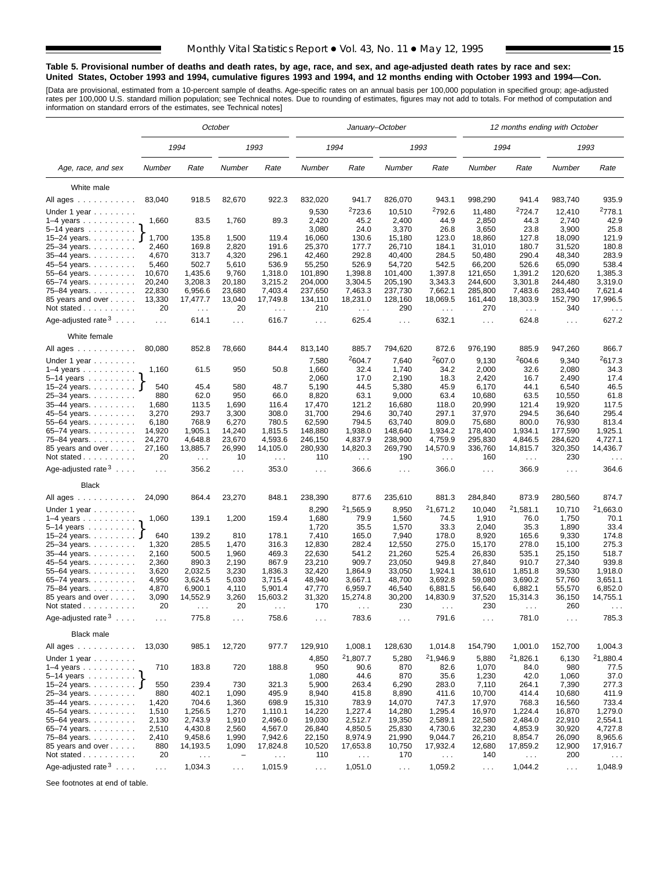#### **Table 5. Provisional number of deaths and death rates, by age, race, and sex, and age-adjusted death rates by race and sex: United States, October 1993 and 1994, cumulative figures 1993 and 1994, and 12 months ending with October 1993 and 1994—Con.**

[Data are provisional, estimated from a 10-percent sample of deaths. Age-specific rates on an annual basis per 100,000 population in specified group; age-adjusted<br>rates per 100,000 U.S. standard million population; see Tec

|                                                       |                |                                  | October                  |                      |                      | January-October           |                      |                                  |                 | 12 months ending with October |                      |                                  |
|-------------------------------------------------------|----------------|----------------------------------|--------------------------|----------------------|----------------------|---------------------------|----------------------|----------------------------------|-----------------|-------------------------------|----------------------|----------------------------------|
|                                                       |                | 1994                             |                          | 1993                 |                      | 1994                      |                      | 1993                             |                 | 1994                          |                      | 1993                             |
| Age, race, and sex                                    | Number         | Rate                             | Number                   | Rate                 | Number               | Rate                      | Number               | Rate                             | Number          | Rate                          | Number               | Rate                             |
| White male                                            |                |                                  |                          |                      |                      |                           |                      |                                  |                 |                               |                      |                                  |
| All ages                                              | 83,040         | 918.5                            | 82,670                   | 922.3                | 832,020              | 941.7                     | 826,070              | 943.1                            | 998,290         | 941.4                         | 983,740              | 935.9                            |
|                                                       |                |                                  |                          |                      |                      | <sup>2</sup> 723.6        |                      | <sup>2</sup> 792.6               |                 | <sup>2</sup> 724.7            |                      | <sup>2</sup> 778.1               |
| Under 1 year                                          | 1,660          | 83.5                             | 1,760                    | 89.3                 | 9,530<br>2,420       | 45.2                      | 10,510<br>2,400      | 44.9                             | 11,480<br>2,850 | 44.3                          | 12,410<br>2,740      | 42.9                             |
| $1-4$ years $\ldots$<br>$5-14$ years $\ldots$         |                |                                  |                          |                      | 3,080                | 24.0                      | 3,370                | 26.8                             | 3,650           | 23.8                          | 3,900                | 25.8                             |
| 15–24 years. <b>J</b>                                 | 1,700          | 135.8                            | 1,500                    | 119.4                | 16,060               | 130.6                     | 15,180               | 123.0                            | 18,860          | 127.8                         | 18,090               | 121.9                            |
| 25-34 years.                                          | 2,460          | 169.8                            | 2,820                    | 191.6                | 25,370               | 177.7                     | 26,710               | 184.1                            | 31,010          | 180.7                         | 31,520               | 180.8                            |
| 35-44 years.                                          | 4,670          | 313.7                            | 4,320                    | 296.1                | 42,460               | 292.8                     | 40,400               | 284.5                            | 50,480          | 290.4                         | 48,340               | 283.9                            |
| 45-54 years.                                          | 5,460          | 502.7                            | 5,610                    | 536.9                | 55,250               | 526.9                     | 54,720               | 542.5                            | 66,200          | 526.6                         | 65,090               | 538.4                            |
| 55-64 years.                                          | 10,670         | 1,435.6                          | 9,760                    | 1,318.0              | 101,890              | 1,398.8                   | 101,400              | 1,397.8                          | 121,650         | 1,391.2                       | 120,620              | 1,385.3                          |
| 65-74 years.                                          | 20,240         | 3,208.3                          | 20,180                   | 3,215.2              | 204,000              | 3,304.5                   | 205,190              | 3,343.3                          | 244,600         | 3,301.8                       | 244,480              | 3,319.0                          |
| 75-84 years.                                          | 22,830         | 6,956.6                          | 23,680                   | 7,403.4              | 237,650              | 7,463.3                   | 237,730              | 7,662.1                          | 285,800         | 7,483.6                       | 283,440              | 7,621.4                          |
| 85 years and over                                     | 13,330         | 17,477.7                         | 13,040                   | 17,749.8             | 134,110              | 18,231.0                  | 128,160              | 18,069.5                         | 161,440         | 18,303.9                      | 152,790              | 17,996.5                         |
| Not stated                                            | 20             | $\ldots$                         | 20                       | $\cdots$             | 210                  | $\sim 100$                | 290                  | $\sim 100$                       | 270             | $\ldots$                      | 340                  | $\cdots$                         |
| Age-adjusted rate $3 \ldots$ .                        | $\sim 100$     | 614.1                            | $\sim 100$               | 616.7                | $\sim$ $\sim$ $\sim$ | 625.4                     | $\sim 100$           | 632.1                            | $\ldots$        | 624.8                         | $\sim 100$           | 627.2                            |
| White female                                          |                |                                  |                          |                      |                      |                           |                      |                                  |                 |                               |                      |                                  |
| All ages                                              | 80,080         | 852.8                            | 78,660                   | 844.4                | 813,140              | 885.7                     | 794,620              | 872.6                            | 976,190         | 885.9                         | 947,260              | 866.7                            |
| Under 1 year                                          |                |                                  |                          |                      | 7,580                | 2604.7                    | 7,640                | 2607.0                           | 9,130           | 2604.6                        | 9,340                | <sup>2</sup> 617.3               |
| $1-4$ years                                           | 1,160          | 61.5                             | 950                      | 50.8                 | 1,660                | 32.4                      | 1,740                | 34.2                             | 2,000           | 32.6                          | 2,080                | 34.3                             |
| 5–14 years $\ldots$                                   |                |                                  |                          |                      | 2,060                | 17.0                      | 2,190                | 18.3                             | 2,420           | 16.7                          | 2,490                | 17.4                             |
| 15-24 years. <b>J</b>                                 | 540            | 45.4                             | 580                      | 48.7                 | 5,190                | 44.5                      | 5,380                | 45.9                             | 6,170<br>10.680 | 44.1                          | 6,540                | 46.5                             |
| 25-34 years.                                          | 880            | 62.0                             | 950<br>1,690             | 66.0<br>116.4        | 8,820                | 63.1<br>121.2             | 9,000<br>16,680      | 63.4                             | 20,990          | 63.5<br>121.4                 | 10,550               | 61.8<br>117.5                    |
| 35-44 years.<br>45-54 years.                          | 1,680<br>3,270 | 113.5<br>293.7                   | 3,300                    | 308.0                | 17,470<br>31,700     | 294.6                     | 30,740               | 118.0<br>297.1                   | 37,970          | 294.5                         | 19,920<br>36,640     | 295.4                            |
| 55-64 years.                                          | 6,180          | 768.9                            | 6,270                    | 780.5                | 62,590               | 794.5                     | 63,740               | 809.0                            | 75,680          | 800.0                         | 76,930               | 813.4                            |
| 65-74 years.                                          | 14,920         | 1,905.1                          | 14,240                   | 1,815.5              | 148,880              | 1,938.0                   | 148,640              | 1,934.2                          | 178,400         | 1,934.1                       | 177,590              | 1.925.1                          |
| 75-84 years.                                          | 24,270         | 4,648.8                          | 23,670                   | 4,593.6              | 246,150              | 4,837.9                   | 238,900              | 4,759.9                          | 295,830         | 4,846.5                       | 284,620              | 4,727.1                          |
| 85 years and over<br>Not stated                       | 27,160<br>20   | 13,885.7<br>$\sim$ $\sim$ $\sim$ | 26,990<br>10             | 14,105.0<br>$\sim$ . | 280,930<br>110       | 14,820.3<br>$\sim$ $\sim$ | 269,790<br>190       | 14,570.9<br>$\sim$ $\sim$ $\sim$ | 336,760<br>160  | 14,815.7<br>$\sim$ .          | 320,350<br>230       | 14,436.7<br>$\sim$ $\sim$ $\sim$ |
| Age-adjusted rate $3 \ldots$ .                        | $\sim 100$     | 356.2                            | $\sim 100$               | 353.0                | $\ldots$             | 366.6                     | $\sim 100$           | 366.0                            | $\cdots$        | 366.9                         | $\sim$ $\sim$ $\sim$ | 364.6                            |
| <b>Black</b>                                          |                |                                  |                          |                      |                      |                           |                      |                                  |                 |                               |                      |                                  |
| All ages                                              | 24,090         | 864.4                            | 23,270                   | 848.1                | 238,390              | 877.6                     | 235,610              | 881.3                            | 284,840         | 873.9                         | 280,560              | 874.7                            |
|                                                       |                |                                  |                          |                      | 8,290                | 21,565.9                  | 8,950                | 21,671.2                         | 10,040          | 21,581.1                      | 10,710               | <sup>2</sup> 1,663.0             |
| Under 1 year<br>1-4 years                             | 1,060          | 139.1                            | 1,200                    | 159.4                | 1,680                | 79.9                      | 1,560                | 74.5                             | 1,910           | 76.0                          | 1,750                | 70.1                             |
| 5–14 years $\ldots$                                   |                |                                  |                          |                      | 1,720                | 35.5                      | 1,570                | 33.3                             | 2,040           | 35.3                          | 1,890                | 33.4                             |
| 15-24 years. J                                        | 640            | 139.2                            | 810                      | 178.1                | 7,410                | 165.0                     | 7,940                | 178.0                            | 8,920           | 165.6                         | 9,330                | 174.8                            |
| 25-34 years.                                          | 1,320          | 285.5                            | 1,470                    | 316.3                | 12,830               | 282.4                     | 12,550               | 275.0                            | 15,170          | 278.0                         | 15,100               | 275.3                            |
| 35-44 years.                                          | 2,160          | 500.5                            | 1,960                    | 469.3                | 22,630               | 541.2                     | 21,260               | 525.4                            | 26,830          | 535.1                         | 25,150               | 518.7                            |
| 45–54 years                                           | 2,360          | 890.3                            | 2,190                    | 867.9                | 23,210               | 909.7                     | 23,050               | 949.8                            | 27,840          | 910.7                         | 27,340               | 939.8                            |
| 55-64 years.                                          | 3,620          | 2,032.5                          | 3,230                    | 1,836.3              | 32,420               | 1,864.9                   | 33,050               | 1,924.1                          | 38,610          | 1,851.8                       | 39,530               | 1,918.0                          |
| 65-74 years.                                          | 4,950          | 3,624.5                          | 5,030                    | 3,715.4              | 48,940               | 3,667.1                   | 48,700               | 3,692.8                          | 59,080          | 3,690.2                       | 57,760               | 3,651.1                          |
| 75-84 years.                                          | 4,870          | 6,900.1                          | 4,110                    | 5,901.4              | 47,770               | 6,959.7                   | 46,540               | 6,881.5                          | 56,640          | 6,882.1                       | 55,570               | 6,852.0                          |
| 85 years and over                                     | 3,090          | 14,552.9                         | 3,260                    | 15,603.2             | 31,320               | 15,274.8                  | 30,200               | 14,830.9                         | 37,520          | 15,314.3                      | 36,150               | 14,755.1                         |
| Not stated $\ldots$<br>Age-adjusted rate $3 \ldots$ . | 20             | 775.8                            | 20                       | 758.6                | 170                  | 783.6                     | 230                  | 791.6                            | 230             | 781.0                         | 260                  | 785.3                            |
| Black male                                            | $\sim 100$     |                                  | $\sim$ $\sim$ $\sim$     |                      | $\sim$ $\sim$ $\sim$ |                           | $\sim$ $\sim$ $\sim$ |                                  | $\sim$ $\sim$   |                               | $\sim$ $\sim$        |                                  |
| All ages                                              | 13,030         | 985.1                            | 12,720                   | 977.7                | 129,910              | 1,008.1                   | 128,630              | 1,014.8                          | 154,790         | 1,001.0                       | 152,700              | 1,004.3                          |
| Under 1 year                                          |                |                                  |                          |                      | 4,850                | <sup>2</sup> 1,807.7      | 5,280                | <sup>2</sup> 1,946.9             | 5,880           | 21,826.1                      | 6,130                | <sup>2</sup> 1,880.4             |
| $1-4$ years                                           | 710            | 183.8                            | 720                      | 188.8                | 950                  | 90.6                      | 870                  | 82.6                             | 1,070           | 84.0                          | 980                  | 77.5                             |
|                                                       |                |                                  |                          |                      | 1,080                | 44.6                      | 870                  | 35.6                             | 1,230           | 42.0                          | 1,060                | 37.0                             |
| 5-14 years }<br>15-24 years }                         | 550            | 239.4                            | 730                      | 321.3                | 5,900                | 263.4                     | 6,290                | 283.0                            | 7,110           | 264.1                         | 7,390                | 277.3                            |
| 25-34 years.                                          | 880            | 402.1                            | 1,090                    | 495.9                | 8,940                | 415.8                     | 8,890                | 411.6                            | 10,700          | 414.4                         | 10,680               | 411.9                            |
| 35-44 years.                                          | 1,420          | 704.6                            | 1,360                    | 698.9                | 15,310               | 783.9                     | 14,070               | 747.3                            | 17,970          | 768.3                         | 16,560               | 733.4                            |
| 45-54 years.                                          | 1,510          | 1,256.5                          | 1,270                    | 1,110.1              | 14,220               | 1,227.4                   | 14,280               | 1,295.4                          | 16,970          | 1,224.4                       | 16,870               | 1,279.0                          |
| 55-64 years.                                          | 2,130          | 2,743.9                          | 1,910                    | 2,496.0              | 19,030               | 2,512.7                   | 19,350               | 2,589.1                          | 22,580          | 2,484.0                       | 22,910               | 2,554.1                          |
| 65-74 years.                                          | 2,510          | 4,430.8                          | 2,560                    | 4,567.0              | 26,840               | 4,850.5                   | 25,830               | 4,730.6                          | 32,230          | 4,853.9                       | 30,920               | 4,727.8                          |
| 75-84 years.                                          | 2,410          | 9,458.6                          | 1,990                    | 7,942.6              | 22,150               | 8,974.9                   | 21,990               | 9,044.7                          | 26,210          | 8,854.7                       | 26,090               | 8,965.6                          |
| 85 years and over                                     | 880            | 14,193.5                         | 1,090                    | 17,824.8             | 10,520               | 17,653.8                  | 10,750               | 17,932.4                         | 12,680          | 17,859.2                      | 12,900               | 17,916.7                         |
| Not stated                                            | 20             | $\sim$ $\sim$                    | $\overline{\phantom{0}}$ | $\ldots$             | 110                  | $\sim$ $\sim$             | 170                  | $\sim$ $\sim$                    | 140             | $\sim$ $\sim$                 | 200                  |                                  |
| Age-adjusted rate $3 \ldots$ .                        | $\sim$ .       | 1,034.3                          | $\sim$ $\sim$            | 1,015.9              | $\sim$ $\sim$        | 1,051.0                   | $\sim 100$           | 1,059.2                          | $\sim$ $\sim$   | 1,044.2                       | $\sim 100$           | 1,048.9                          |

See footnotes at end of table.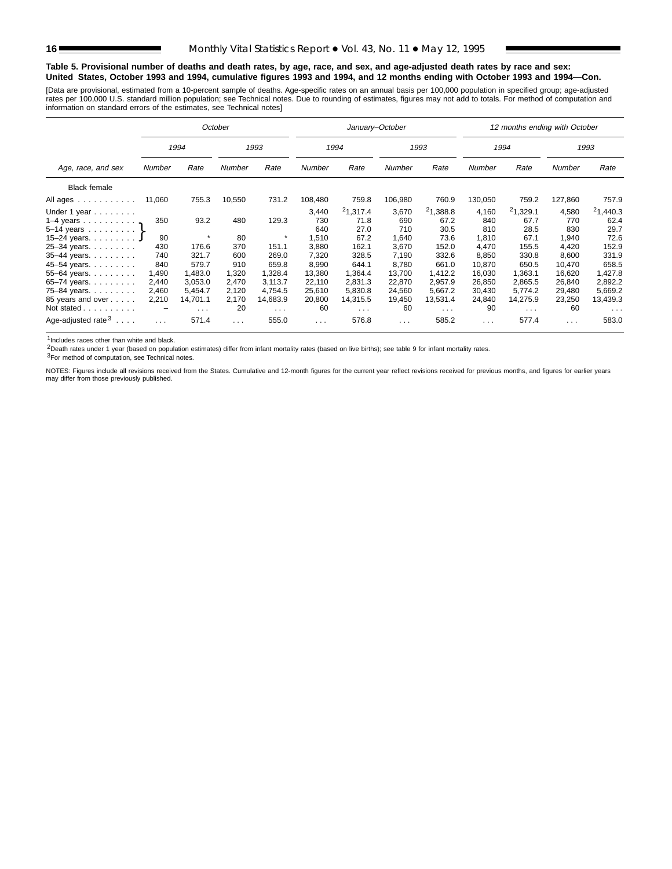#### **Table 5. Provisional number of deaths and death rates, by age, race, and sex, and age-adjusted death rates by race and sex: United States, October 1993 and 1994, cumulative figures 1993 and 1994, and 12 months ending with October 1993 and 1994—Con.**

[Data are provisional, estimated from a 10-percent sample of deaths. Age-specific rates on an annual basis per 100,000 population in specified group; age-adjusted<br>rates per 100,000 U.S. standard million population; see Tec

|                                                               |          |            | October       |                      |               | January-October |               |                      |               | 12 months ending with October |               |                      |
|---------------------------------------------------------------|----------|------------|---------------|----------------------|---------------|-----------------|---------------|----------------------|---------------|-------------------------------|---------------|----------------------|
|                                                               |          | 1994       |               | 1993                 |               | 1994            |               | 1993                 |               | 1994                          |               | 1993                 |
| Age, race, and sex                                            | Number   | Rate       | <b>Number</b> | Rate                 | <b>Number</b> | Rate            | <b>Number</b> | Rate                 | <b>Number</b> | Rate                          | <b>Number</b> | Rate                 |
| <b>Black female</b>                                           |          |            |               |                      |               |                 |               |                      |               |                               |               |                      |
| All ages                                                      | 11,060   | 755.3      | 10,550        | 731.2                | 108,480       | 759.8           | 106,980       | 760.9                | 130,050       | 759.2                         | 127,860       | 757.9                |
| Under 1 year                                                  |          |            |               |                      | 3,440         | $^{2}1,317.4$   | 3,670         | 21,388.8             | 4,160         | 21,329.1                      | 4,580         | 21,440.3             |
| 1–4 years $\ldots$ $\ldots$ $\ldots$                          | 350      | 93.2       | 480           | 129.3                | 730<br>640    | 71.8<br>27.0    | 690<br>710    | 67.2<br>30.5         | 840<br>810    | 67.7<br>28.5                  | 770<br>830    | 62.4<br>29.7         |
| 5-14 years $\}$<br>15-24 years. J                             | 90       | $\star$    | 80            | $\star$              | 1,510         | 67.2            | 1,640         | 73.6                 | 1,810         | 67.1                          | 1,940         | 72.6                 |
| 25-34 years.                                                  | 430      | 176.6      | 370           | 151.1                | 3,880         | 162.1           | 3,670         | 152.0                | 4.470         | 155.5                         | 4,420         | 152.9                |
| 35-44 years.                                                  | 740      | 321.7      | 600           | 269.0                | 7,320         | 328.5           | 7,190         | 332.6                | 8,850         | 330.8                         | 8,600         | 331.9                |
| 45-54 years.                                                  | 840      | 579.7      | 910           | 659.8                | 8,990         | 644.1           | 8,780         | 661.0                | 10,870        | 650.5                         | 10,470        | 658.5                |
| 55-64 years.                                                  | 1,490    | 1.483.0    | 1,320         | 1.328.4              | 13,380        | 1,364.4         | 13.700        | 1,412.2              | 16.030        | 1.363.1                       | 16.620        | 1,427.8              |
| 65–74 years.                                                  | 2,440    | 3,053.0    | 2,470         | 3,113.7              | 22,110        | 2,831.3         | 22,870        | 2,957.9              | 26,850        | 2,865.5                       | 26,840        | 2,892.2              |
| 75-84 years.                                                  | 2,460    | 5,454.7    | 2,120         | 4.754.5              | 25,610        | 5,830.8         | 24,560        | 5,667.2              | 30,430        | 5.774.2                       | 29,480        | 5,669.2              |
| 85 years and over                                             | 2,210    | 14,701.1   | 2,170         | 14,683.9             | 20,800        | 14,315.5        | 19,450        | 13,531.4             | 24,840        | 14,275.9                      | 23,250        | 13,439.3             |
| Not stated                                                    |          | $\sim 100$ | 20            | $\sim$ $\sim$ $\sim$ | 60            | $\sim 100$      | 60            | $\sim$ $\sim$ $\sim$ | 90            | $\sim$ $\sim$ $\sim$          | 60            | $\sim$ $\sim$ $\sim$ |
| Age-adjusted rate <sup>3</sup><br>$\sim$ $\sim$ $\sim$ $\sim$ | $\cdots$ | 571.4      | $\cdots$      | 555.0                | $\cdots$      | 576.8           | $\cdots$      | 585.2                | $\cdots$      | 577.4                         | $\cdots$      | 583.0                |

1Includes races other than white and black.

2Death rates under 1 year (based on population estimates) differ from infant mortality rates (based on live births); see table 9 for infant mortality rates.

3For method of computation, see Technical notes.

NOTES: Figures include all revisions received from the States. Cumulative and 12-month figures for the current year reflect revisions received for previous months, and figures for earlier years may differ from those previously published.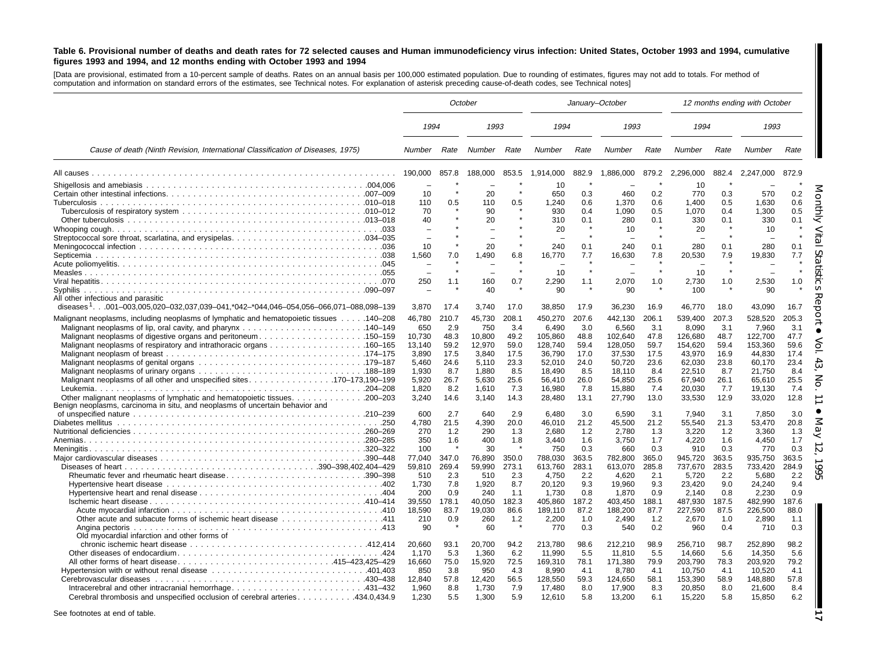#### Table 6. Provisional number of deaths and death rates for 72 selected causes and Human immunodeficiency virus infection: United States, October 1993 and 1994, cumulative figures 1993 and 1994, and 12 months ending with October 1993 and 1994

[Data are provisional, estimated from <sup>a</sup> 10-percent sample of deaths. Rates on an annual basis per 100,000 estimated population. Due to rounding of estimates, figures may not add to totals. For method of computation and information on standard errors of the estimates, see Technical notes. For explanation of asterisk preceding cause-of-death codes, see Technical notes]

|                                                                                         |                  |                |                  | October        |                    | January-October |                    |                |                    |                | 12 months ending with October |                |
|-----------------------------------------------------------------------------------------|------------------|----------------|------------------|----------------|--------------------|-----------------|--------------------|----------------|--------------------|----------------|-------------------------------|----------------|
|                                                                                         | 1994             |                | 1993             |                | 1994               |                 | 1993               |                | 1994               |                | 1993                          |                |
| Cause of death (Ninth Revision, International Classification of Diseases, 1975)         | Number           | Rate           | Number           | Rate           | Number             | Rate            | <b>Number</b>      | Rate           | Number             | Rate           | Number                        | Rate           |
|                                                                                         | 190,000          | 857.8          | 188,000          | 853.5          | 1,914,000          | 882.9           | 1,886,000          |                | 879.2 2,296,000    | 882.4          | 2,247,000                     | 872.9          |
|                                                                                         |                  |                |                  |                | 10                 |                 |                    |                | 10                 |                |                               |                |
|                                                                                         | 10               |                | 20               |                | 650                | 0.3             | 460                | 0.2            | 770                | 0.3            | 570                           | 0.2            |
|                                                                                         | 110              | 0.5            | 110              | 0.5            | 1.240              | 0.6             | 1.370              | 0.6            | 1.400              | 0.5            | 1.630                         | 0.6            |
|                                                                                         | 70               |                | 90               |                | 930                | 0.4             | 1.090              | 0.5            | 1.070              | 0.4            | 1,300                         | 0.5            |
|                                                                                         | 40               |                | 20               |                | 310                | 0.1             | 280                | 0.1            | 330                | 0.1            | 330                           | 0.1            |
|                                                                                         |                  |                |                  |                | 20                 |                 | 10                 | $\bullet$      | 20                 |                | 10                            |                |
|                                                                                         |                  |                |                  |                |                    |                 |                    |                |                    |                |                               |                |
|                                                                                         | 10               |                | 20               |                | 240                | 0.1             | 240                | 0.1            | 280                | 0.1            | 280                           | 0.1            |
|                                                                                         | 1,560            | 7.0            | 1,490            | 6.8            | 16,770             | 7.7             | 16,630             | 7.8            | 20,530             | 7.9            | 19,830                        | 7.7            |
|                                                                                         |                  |                |                  |                | 10                 |                 |                    |                | 10                 |                |                               |                |
|                                                                                         | 250              | 1.1            | 160              | 0.7            | 2,290              | 1.1             | 2,070              | 1.0            | 2,730              | 1.0            | 2,530                         | 1.0            |
| Svphilis                                                                                |                  |                | 40               |                | 90                 | $\pmb{\ast}$    | 90                 |                | 100                |                | 90                            |                |
| All other infectious and parasitic                                                      |                  |                |                  |                |                    |                 |                    |                |                    |                |                               |                |
| diseases $1.001-003.005.020-032.037.039-041.^*042-*044.046-054.056-066.071-088.098-139$ | 3.870            | 17.4           | 3.740            | 17.0           | 38.850             | 17.9            | 36.230             | 16.9           | 46.770             | 18.0           | 43.090                        | 16.7           |
| Malignant neoplasms, including neoplasms of lymphatic and hematopoietic tissues 140–208 | 46,780           | 210.7          | 45,730           | 208.1          | 450,270            | 207.6           | 442,130            | 206.1          | 539,400            | 207.3          | 528,520                       | 205.3          |
|                                                                                         | 650              | 2.9            | 750              | 3.4            | 6.490              | 3.0             | 6.560              | 3.1            | 8.090              | 3.1            | 7.960                         | 3.1            |
|                                                                                         | 10,730           | 48.3           | 10,800           | 49.2           | 105,860            | 48.8            | 102,640            | 47.8           | 126,680            | 48.7           | 122,700                       | 47.7           |
|                                                                                         | 13,140           | 59.2           | 12,970           | 59.0           | 128,740            | 59.4            | 128,050            | 59.7           | 154,620            | 59.4           | 153,360                       | 59.6           |
|                                                                                         | 3,890            | 17.5           | 3,840            | 17.5           | 36,790             | 17.0            | 37,530             | 17.5           | 43,970             | 16.9           | 44,830                        | 17.4           |
|                                                                                         | 5.460            | 24.6           | 5.110            | 23.3           | 52,010             | 24.0            | 50.720             | 23.6           | 62.030             | 23.8           | 60.170                        | 23.4           |
|                                                                                         | 1.930            | 8.7            | 1.880            | 8.5            | 18,490             | 8.5             | 18,110             | 8.4            | 22,510             | 8.7            | 21,750                        | 8.4            |
| Malignant neoplasms of all other and unspecified sites170–173,190–199                   | 5,920            | 26.7           | 5,630            | 25.6           | 56,410             | 26.0            | 54,850             | 25.6           | 67,940             | 26.1           | 65,610                        | 25.5           |
|                                                                                         | 1.820            | 8.2            | 1,610            | 7.3            | 16,980             | 7.8             | 15,880             | 7.4            | 20.030             | 7.7            | 19.130                        | 7.4            |
| Benign neoplasms, carcinoma in situ, and neoplasms of uncertain behavior and            | 3.240            | 14.6           | 3.140            | 14.3           | 28,480             | 13.1            | 27,790             | 13.0           | 33,530             | 12.9           | 33,020                        | 12.8           |
|                                                                                         | 600              | 2.7            | 640              | 2.9            | 6.480              | 3.0             | 6,590              | 3.1            | 7,940              | 3.1            | 7,850                         | 3.0            |
|                                                                                         | 4,780            | 21.5           | 4,390            | 20.0           | 46,010             | 21.2            | 45,500             | 21.2           | 55,540             | 21.3           | 53,470                        | 20.8           |
|                                                                                         | 270              | 1.2            | 290              | 1.3            | 2.680              | 1.2             | 2.780              | 1.3            | 3,220              | 1.2            | 3,360                         | 1.3            |
|                                                                                         | 350              | 1.6            | 400              | 1.8            | 3.440              | 1.6             | 3.750              | 1.7            | 4,220              | 1.6            | 4.450                         | 1.7            |
|                                                                                         | 100              |                | 30               |                | 750                | 0.3             | 660                | 0.3            | 910                | 0.3            | 770                           | 0.3            |
|                                                                                         | 77,040<br>59,810 | 347.0<br>269.4 | 76,890<br>59,990 | 350.0<br>273.1 | 788,030<br>613,760 | 363.5<br>283.1  | 782,800<br>613,070 | 365.0<br>285.8 | 945,720<br>737,670 | 363.5<br>283.5 | 935,750<br>733,420            | 363.5<br>284.9 |
| Rheumatic fever and rheumatic heart disease390–398                                      | 510              | 2.3            | 510              | 2.3            | 4.750              | 2.2             | 4.620              | 2.1            | 5,720              | 2.2            | 5,680                         | 2.2            |
|                                                                                         | 1,730            | 7.8            | 1,920            | 8.7            | 20,120             | 9.3             | 19,960             | 9.3            | 23,420             | 9.0            | 24,240                        | 9.4            |
|                                                                                         | 200              | 0.9            | 240              | 1.1            | 1,730              | 0.8             | 1,870              | 0.9            | 2,140              | 0.8            | 2,230                         | 0.9            |
|                                                                                         | 39,550           | 178.1          | 40.050           | 182.3          | 405,860            | 187.2           | 403,450            | 188.1          | 487,930            | 187.5          | 482,990                       | 187.6          |
|                                                                                         | 18,590           | 83.7           | 19,030           | 86.6           | 189,110            | 87.2            | 188,200            | 87.7           | 227,590            | 87.5           | 226,500                       | 88.0           |
|                                                                                         | 210              | 0.9            | 260              | 1.2            | 2,200              | 1.0             | 2.490              | 1.2            | 2,670              | 1.0            | 2,890                         | 1.1            |
| Angina pectoris<br>Old myocardial infarction and other forms of                         | 90               |                | 60               |                | 770                | 0.3             | 540                | 0.2            | 960                | 0.4            | 710                           | 0.3            |
|                                                                                         | 20.660           | 93.1           | 20.700           | 94.2           | 213.780            | 98.6            | 212,210            | 98.9           | 256,710            | 98.7           | 252,890                       | 98.2           |
|                                                                                         | 1.170            | 5.3            | 1.360            | 6.2            | 11.990             | 5.5             | 11.810             | 5.5            | 14,660             | 5.6            | 14.350                        | 5.6            |
| All other forms of heart disease415–423,425–429                                         | 16,660           | 75.0           | 15,920           | 72.5           | 169,310            | 78.1            | 171,380            | 79.9           | 203,790            | 78.3           | 203,920                       | 79.2           |
|                                                                                         | 850              | 3.8            | 950              | 4.3            | 8,990              | 4.1             | 8,780              | 4.1            | 10,750             | 4.1            | 10,520                        | 4.1            |
|                                                                                         | 12.840           | 57.8           | 12.420           | 56.5           | 128.550            | 59.3            | 124.650            | 58.1           | 153.390            | 58.9           | 148.880                       | 57.8           |
|                                                                                         | 1.960            | 8.8            | 1,730            | 7.9            | 17,480             | 8.0             | 17,900             | 8.3            | 20,850             | 8.0            | 21.600                        | 8.4            |
| Cerebral thrombosis and unspecified occlusion of cerebral arteries434.0,434.9           | 1,230            | 5.5            | 1,300            | 5.9            | 12,610             | 5.8             | 13,200             | 6.1            | 15,220             | 5.8            | 15,850                        | 6.2            |

See footnotes at end of table.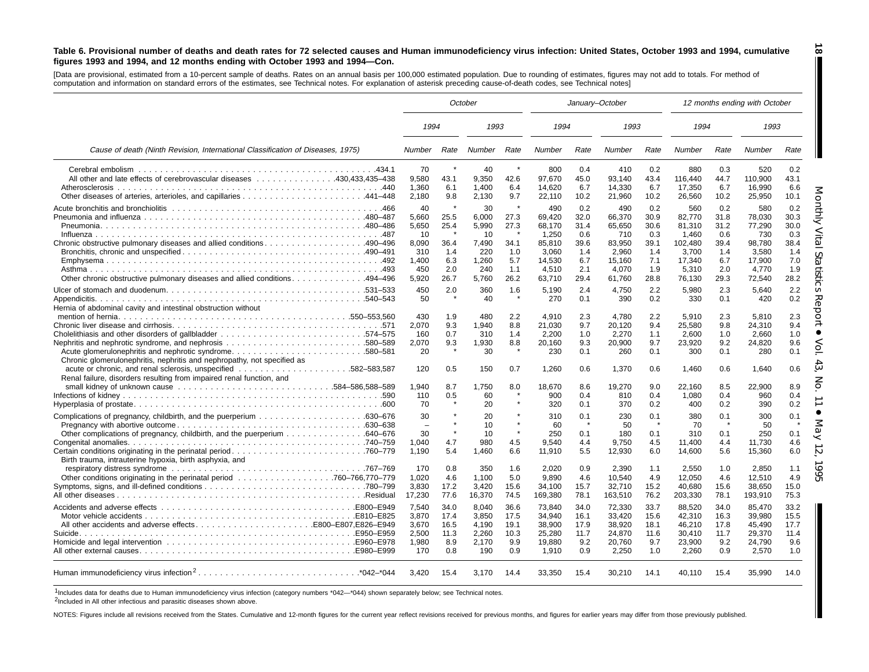#### Table 6. Provisional number of deaths and death rates for 72 selected causes and Human immunodeficiency virus infection: United States, October 1993 and 1994, cumulative figures 1993 and 1994, and 12 months ending with October 1993 and 1994-Con.

[Data are provisional, estimated from a 10-percent sample of deaths. Rates on an annual basis per 100,000 estimated population. Due to rounding of estimates, figures may not add to totals. For method of computation and information on standard errors of the estimates, see Technical notes. For explanation of asterisk preceding cause-of-death codes, see Technical notes]

|                                                                                                                                            |                                                            |                                            | October                                                    |                                                      |                                                                        |                                                         | January-October                                                      |                                                         |                                                                         |                                                         | 12 months ending with October                                        |                                                         |
|--------------------------------------------------------------------------------------------------------------------------------------------|------------------------------------------------------------|--------------------------------------------|------------------------------------------------------------|------------------------------------------------------|------------------------------------------------------------------------|---------------------------------------------------------|----------------------------------------------------------------------|---------------------------------------------------------|-------------------------------------------------------------------------|---------------------------------------------------------|----------------------------------------------------------------------|---------------------------------------------------------|
|                                                                                                                                            | 1994                                                       |                                            | 1993                                                       |                                                      | 1994                                                                   |                                                         | 1993                                                                 |                                                         | 1994                                                                    |                                                         | 1993                                                                 |                                                         |
| Cause of death (Ninth Revision, International Classification of Diseases, 1975)                                                            | Number                                                     | Rate                                       | Number                                                     | Rate                                                 | Number                                                                 | Rate                                                    | Number                                                               | Rate                                                    | Number                                                                  | Rate                                                    | Number                                                               | Rate                                                    |
| All other and late effects of cerebrovascular diseases 430,433,435–438                                                                     | 70<br>9,580<br>1,360<br>2,180                              | 43.1<br>6.1<br>9.8                         | 40<br>9,350<br>1,400<br>2,130                              | $\star$<br>42.6<br>6.4<br>9.7                        | 800<br>97,670<br>14,620<br>22,110                                      | 0.4<br>45.0<br>6.7<br>10.2                              | 410<br>93,140<br>14,330<br>21,960                                    | 0.2<br>43.4<br>6.7<br>10.2                              | 880<br>116,440<br>17,350<br>26,560                                      | 0.3<br>44.7<br>6.7<br>10.2                              | 520<br>110,900<br>16,990<br>25,950                                   | 0.2<br>43.1<br>6.6<br>10.1                              |
|                                                                                                                                            | 40<br>5.660<br>5,650<br>10<br>8,090<br>310<br>1.400<br>450 | 25.5<br>25.4<br>36.4<br>1.4<br>6.3<br>2.0  | 30<br>6.000<br>5,990<br>10<br>7,490<br>220<br>1.260<br>240 | 27.3<br>27.3<br>$\star$<br>34.1<br>1.0<br>5.7<br>1.1 | 490<br>69.420<br>68,170<br>1.250<br>85,810<br>3,060<br>14.530<br>4,510 | 0.2<br>32.0<br>31.4<br>0.6<br>39.6<br>1.4<br>6.7<br>2.1 | 490<br>66,370<br>65,650<br>710<br>83,950<br>2,960<br>15.160<br>4,070 | 0.2<br>30.9<br>30.6<br>0.3<br>39.1<br>1.4<br>7.1<br>1.9 | 560<br>82.770<br>81,310<br>1.460<br>102,480<br>3,700<br>17.340<br>5,310 | 0.2<br>31.8<br>31.2<br>0.6<br>39.4<br>1.4<br>6.7<br>2.0 | 580<br>78,030<br>77,290<br>730<br>98,780<br>3,580<br>17.900<br>4,770 | 0.2<br>30.3<br>30.0<br>0.3<br>38.4<br>1.4<br>7.0<br>1.9 |
| 0ther chronic obstructive pulmonary diseases and allied conditions494–496<br>Hernia of abdominal cavity and intestinal obstruction without | 5,920<br>450<br>50                                         | 26.7<br>2.0                                | 5,760<br>360<br>40                                         | 26.2<br>1.6<br>$\star$                               | 63,710<br>5.190<br>270                                                 | 29.4<br>2.4<br>0.1                                      | 61,760<br>4.750<br>390                                               | 28.8<br>2.2<br>0.2                                      | 76,130<br>5.980<br>330                                                  | 29.3<br>2.3<br>0.1                                      | 72,540<br>5.640<br>420                                               | 28.2<br>2.2<br>0.2<br>ਨ                                 |
| Chronic glomerulonephritis, nephritis and nephropathy, not specified as                                                                    | 430<br>2,070<br>160<br>2,070<br>20                         | 1.9<br>9.3<br>0.7<br>9.3                   | 480<br>1,940<br>310<br>1,930<br>30                         | 2.2<br>8.8<br>1.4<br>8.8                             | 4.910<br>21,030<br>2.200<br>20,160<br>230                              | 2.3<br>9.7<br>1.0<br>9.3<br>0.1                         | 4.780<br>20,120<br>2,270<br>20,900<br>260                            | 2.2<br>9.4<br>1.1<br>9.7<br>0.1                         | 5.910<br>25,580<br>2.600<br>23,920<br>300                               | 2.3<br>9.8<br>1.0<br>9.2<br>0.1                         | 5.810<br>24,310<br>2.660<br>24,820<br>280                            | 2.3<br>9.4<br>1.0<br>9.6<br>0.1                         |
| Renal failure, disorders resulting from impaired renal function, and                                                                       | 120<br>1.940<br>110<br>70                                  | 0.5<br>8.7<br>0.5                          | 150<br>1.750<br>60<br>20                                   | 0.7<br>8.0                                           | 1.260<br>18.670<br>900<br>320                                          | 0.6<br>8.6<br>0.4<br>0.1                                | 1.370<br>19,270<br>810<br>370                                        | 0.6<br>9.0<br>0.4<br>0.2                                | 1.460<br>22.160<br>1,080<br>400                                         | 0.6<br>8.5<br>0.4<br>0.2                                | 1.640<br>22,900<br>960<br>390                                        | 0.6<br>8.9<br>0.4<br>0.2                                |
|                                                                                                                                            | 30<br>$\sim$<br>30<br>1,040<br>1,190                       | 4.7<br>5.4                                 | 20<br>10<br>10<br>980<br>1,460                             | 4.5<br>6.6                                           | 310<br>60<br>250<br>9,540<br>11,910                                    | 0.1<br>0.1<br>4.4<br>5.5                                | 230<br>50<br>180<br>9,750<br>12,930                                  | 0.1<br>$\star$<br>0.1<br>4.5<br>6.0                     | 380<br>70<br>310<br>11,400<br>14,600                                    | 0.1<br>-4<br>0.1<br>4.4<br>5.6                          | 300<br>50<br>250<br>11,730<br>15,360                                 | 0.1<br>0.1<br>$\checkmark$<br>4.6<br>6.0                |
| Birth trauma, intrauterine hypoxia, birth asphyxia, and                                                                                    | 170<br>1.020<br>3.830<br>17,230                            | 0.8<br>4.6<br>17.2<br>77.6                 | 350<br>1.100<br>3.420<br>16,370                            | 1.6<br>5.0<br>15.6<br>74.5                           | 2,020<br>9.890<br>34,100<br>169,380                                    | 0.9<br>4.6<br>15.7<br>78.1                              | 2,390<br>10.540<br>32.710<br>163,510                                 | 1.1<br>4.9<br>15.2<br>76.2                              | 2,550<br>12.050<br>40.680<br>203,330                                    | 1.0<br>4.6<br>15.6<br>78.1                              | 2,850<br>12.510<br>38.650<br>193,910                                 | 1.1<br>4.9<br>15.0<br>75.3                              |
| All other accidents and adverse effectsB800-E807,E826-E949                                                                                 | 7,540<br>3,870<br>3,670<br>2.500<br>1.980<br>170           | 34.0<br>17.4<br>16.5<br>11.3<br>8.9<br>0.8 | 8,040<br>3,850<br>4,190<br>2.260<br>2,170<br>190           | 36.6<br>17.5<br>19.1<br>10.3<br>9.9<br>0.9           | 73,840<br>34,940<br>38,900<br>25,280<br>19,880<br>1,910                | 34.0<br>16.1<br>17.9<br>11.7<br>9.2<br>0.9              | 72,330<br>33,420<br>38,920<br>24.870<br>20,760<br>2,250              | 33.7<br>15.6<br>18.1<br>11.6<br>9.7<br>1.0              | 88,520<br>42,310<br>46,210<br>30.410<br>23,900<br>2,260                 | 34.0<br>16.3<br>17.8<br>11.7<br>9.2<br>0.9              | 85.470<br>39.980<br>45,490<br>29.370<br>24,790<br>2,570              | 33.2<br>15.5<br>17.7<br>11.4<br>9.6<br>1.0              |
|                                                                                                                                            | 3,420                                                      | 15.4                                       | 3.170                                                      | 14.4                                                 | 33,350                                                                 | 15.4                                                    | 30,210                                                               | 14.1                                                    | 40.110                                                                  | 15.4                                                    | 35,990                                                               | 14.0                                                    |

1Includes data for deaths due to Human immunodeficiency virus infection (category numbers \*042—\*044) shown separately below; see Technical notes.

2Included in All other infectious and parasitic diseases shown above.

NOTES: Figures include all revisions received from the States. Cumulative and 12-month figures for the current year reflect revisions received for previous months, and figures for earlier years may differ from those previo

**18** H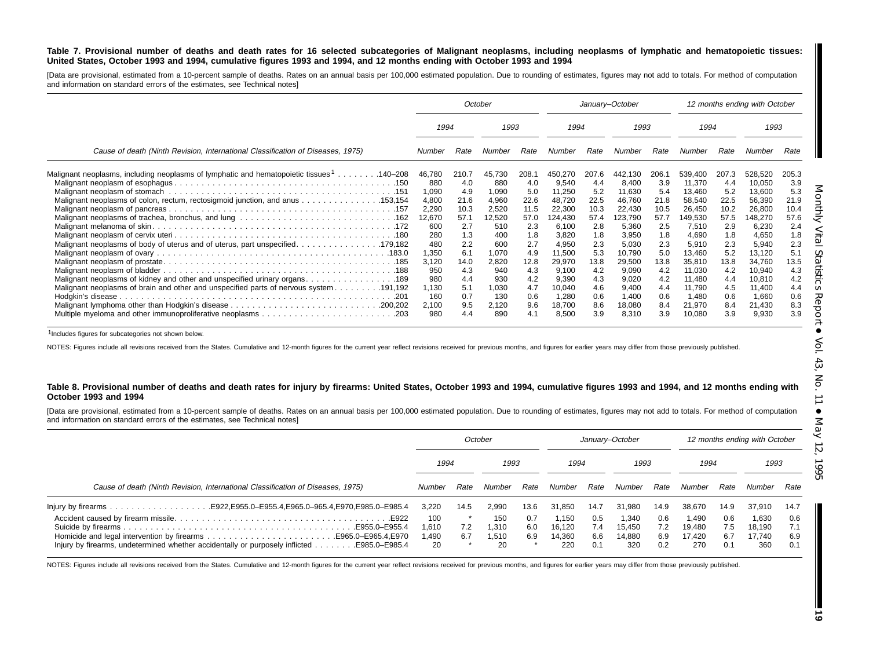#### Table 7. Provisional number of deaths and death rates for 16 selected subcategories of Malignant neoplasms, including neoplasms of lymphatic and hematopoietic tissues: United States, October 1993 and 1994, cumulative figures 1993 and 1994, and 12 months ending with October 1993 and 1994

[Data are provisional, estimated from a 10-percent sample of deaths. Rates on an annual basis per 100,000 estimated population. Due to rounding of estimates, figures may not add to totals. For method of computation and information on standard errors of the estimates, see Technical notes]

|                                                                                          | October      |       |        | January-October |         |       |         | 12 months ending with October |         |       |         |       |
|------------------------------------------------------------------------------------------|--------------|-------|--------|-----------------|---------|-------|---------|-------------------------------|---------|-------|---------|-------|
|                                                                                          | 1993<br>1994 |       | 1994   |                 | 1993    |       | 1994    |                               |         | 1993  |         |       |
| Cause of death (Ninth Revision, International Classification of Diseases, 1975)          | Number       | Rate  | Number | Rate            | Number  | Rate  | Number  | Rate                          | Number  | Rate  | Number  | Rate  |
| Malignant neoplasms, including neoplasms of lymphatic and hematopoietic tissues 1140–208 | 46,780       | 210.7 | 45,730 | 208.7           | 450.270 | 207.6 | 442.130 | 206.1                         | 539.400 | 207.3 | 528,520 | 205.3 |
|                                                                                          | 880          | 4.0   | 880    | 4.0             | 9,540   | 4.4   | 8,400   | 3.9                           | 11,370  | 4.4   | 10,050  | 3.9   |
|                                                                                          | 1,090        | 4.9   | 1,090  | 5.0             | 11,250  | 5.2   | 11,630  | 5.4                           | 13,460  | 5.2   | 13,600  | 5.3   |
|                                                                                          | 4,800        | 21.6  | 4,960  | 22.6            | 48,720  | 22.5  | 46,760  | 21.8                          | 58,540  | 22.5  | 56,390  | 21.9  |
|                                                                                          | 2,290        | 10.3  | 2,520  | 11.5            | 22,300  | 10.3  | 22,430  | 10.5                          | 26,450  | 10.2  | 26,800  | 10.4  |
|                                                                                          | 12,670       | 57.1  | 12,520 | 57.0            | 124,430 | 57.4  | 123,790 | 57.7                          | 149,530 | 57.5  | 148,270 | 57.6  |
|                                                                                          | 600          | 2.7   | 510    | 2.3             | 6,100   | 2.8   | 5,360   | 2.5                           | 7,510   | 2.9   | 6,230   | 2.4   |
|                                                                                          | 280          | 1.3   | 400    | 1.8             | 3,820   | 1.8   | 3,950   | 1.8                           | 4,690   | 1.8   | 4,650   | 1.8   |
| Malignant neoplasms of body of uterus and of uterus, part unspecified. 179,182           | 480          | 2.2   | 600    | 2.7             | 4,950   | 2.3   | 5,030   | 2.3                           | 5,910   | 2.3   | 5,940   | 2.3   |
|                                                                                          | 1,350        | 6.1   | 1,070  | 4.9             | 11,500  | 5.3   | 10,790  | 5.0                           | 13,460  | 5.2   | 13,120  | 5.1   |
|                                                                                          | 3,120        | 14.0  | 2,820  | 12.8            | 29,970  | 13.8  | 29,500  | 13.8                          | 35,810  | 13.8  | 34,760  | 13.5  |
|                                                                                          | 950          | 4.3   | 940    | 4.3             | 9,100   | 4.2   | 9,090   | 4.2                           | 11,030  | 4.2   | 10,940  | 4.3   |
|                                                                                          | 980          | 4.4   | 930    | 4.2             | 9,390   | 4.3   | 9,020   | 4.2                           | 11,480  | 4.4   | 10,810  | 4.2   |
|                                                                                          | 1,130        | 5.1   | 1.030  | 4.7             | 10,040  | 4.6   | 9,400   | 4.4                           | 11,790  | 4.5   | 11,400  | 4.4   |
|                                                                                          | 160          | 0.7   | 130    | 0.6             | 1,280   | 0.6   | 1,400   | 0.6                           | 1,480   | 0.6   | 1,660   | 0.6   |
|                                                                                          | 2,100        | 9.5   | 2,120  | 9.6             | 18,700  | 8.6   | 18,080  | 8.4                           | 21,970  | 8.4   | 21,430  | 8.3   |
|                                                                                          | 980          | 4.4   | 890    | 4.1             | 8,500   | 3.9   | 8,310   | 3.9                           | 10,080  | 3.9   | 9,930   | 3.9   |

1Includes figures for subcategories not shown below.

NOTES: Figures include all revisions received from the States. Cumulative and 12-month figures for the current year reflect revisions received for previous months, and figures for earlier years may differ from those previo

#### Table 8. Provisional number of deaths and death rates for injury by firearms: United States, October 1993 and 1994, cumulative figures 1993 and 1994, and 12 months ending with **October 1993 and 1994**

[Data are provisional, estimated from a 10-percent sample of deaths. Rates on an annual basis per 100,000 estimated population. Due to rounding of estimates, figures may not add to totals. For method of computation and information on standard errors of the estimates, see Technical notes]

|                                                                                 | October                    |            |                             | January-October   |                                  |                          |                                  | 12 months ending with October |                                  |                          |                                  |                          |  |
|---------------------------------------------------------------------------------|----------------------------|------------|-----------------------------|-------------------|----------------------------------|--------------------------|----------------------------------|-------------------------------|----------------------------------|--------------------------|----------------------------------|--------------------------|--|
|                                                                                 |                            | 1994       |                             | 1993              |                                  | 1994                     |                                  | 1993                          |                                  | 1994                     |                                  | 1993                     |  |
| Cause of death (Ninth Revision, International Classification of Diseases, 1975) | Number                     | Rate       | Number                      | Rate              | Number                           | Rate                     | Number                           | Rate                          | Number                           | Rate                     | Number                           | Rate                     |  |
|                                                                                 | 3.220                      | 14.5       | 2,990                       | 13.6              | 31.850                           | 14.7                     | 31.980                           | 14.9                          | 38.670                           | 14.9                     | 37,910                           | 14.7                     |  |
| E922.                                                                           | 100<br>1.610<br>.490<br>20 | 7.2<br>6.7 | 150<br>1,310<br>1.510<br>20 | 0.7<br>6.0<br>6.9 | 1.150<br>16.120<br>14.360<br>220 | 0.5<br>7.4<br>6.6<br>0.1 | 1.340<br>15.450<br>14.880<br>320 | 0.6<br>7.2<br>6.9<br>0.2      | 1.490<br>19.480<br>17.420<br>270 | 0.6<br>7.5<br>6.7<br>0.1 | 1.630<br>18.190<br>17.740<br>360 | 0.6<br>7.1<br>6.9<br>0.1 |  |

NOTES: Figures include all revisions received from the States. Cumulative and 12-month figures for the current year reflect revisions received for previous months, and figures for earlier years may differ from those previo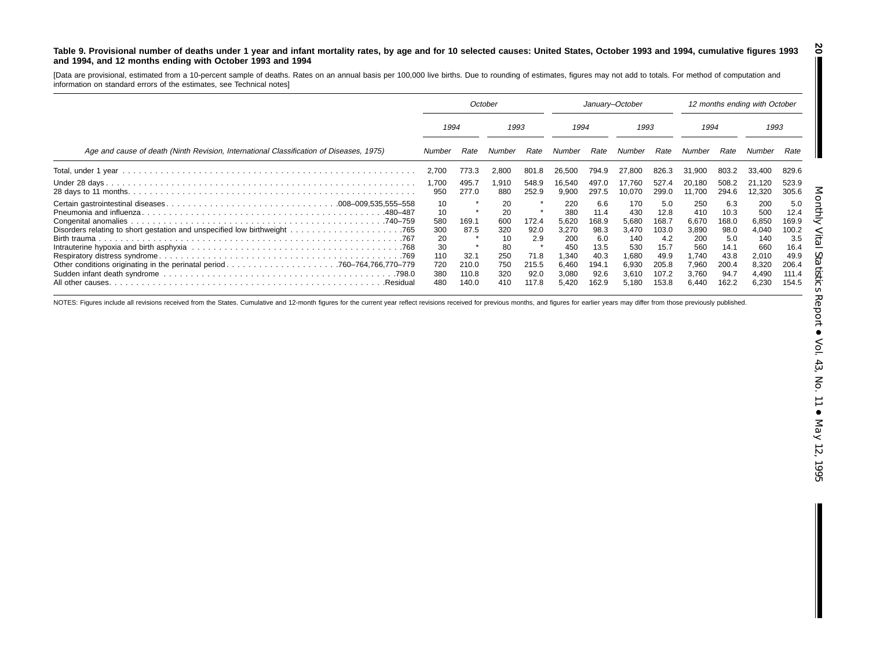#### Table 9. Provisional number of deaths under 1 year and infant mortality rates, by age and for 10 selected causes: United States, October 1993 and 1994, cumulative figures 1993 **and 1994, and 12 months ending with October 1993 and 1994**

[Data are provisional, estimated from <sup>a</sup> 10-percent sample of deaths. Rates on an annual basis per 100,000 live births. Due to rounding of estimates, figures may not add to totals. For method of computation and information on standard errors of the estimates, see Technical notes]

|                                                                                         | October                                                        |                                         |                                                         | January-October                               |                                                                       |                                                                               |                                                                       | 12 months ending with October                                          |                                                                       |                                                                      |                                                                                |                                                                        |
|-----------------------------------------------------------------------------------------|----------------------------------------------------------------|-----------------------------------------|---------------------------------------------------------|-----------------------------------------------|-----------------------------------------------------------------------|-------------------------------------------------------------------------------|-----------------------------------------------------------------------|------------------------------------------------------------------------|-----------------------------------------------------------------------|----------------------------------------------------------------------|--------------------------------------------------------------------------------|------------------------------------------------------------------------|
|                                                                                         | 1993<br>1994                                                   |                                         | 1994                                                    |                                               | 1993                                                                  |                                                                               | 1994                                                                  |                                                                        | 1993                                                                  |                                                                      |                                                                                |                                                                        |
| Age and cause of death (Ninth Revision, International Classification of Diseases, 1975) | Number                                                         | Rate                                    | Number                                                  | Rate                                          | Number                                                                | Rate                                                                          | Number                                                                | Rate                                                                   | Number                                                                | Rate                                                                 | Number                                                                         | Rate                                                                   |
|                                                                                         | 2,700                                                          | 773.3                                   | 2,800                                                   | 801.8                                         | 26,500                                                                | 794.9                                                                         | 27.800                                                                | 826.3                                                                  | 31.900                                                                | 803.2                                                                | 33,400                                                                         | 829.6                                                                  |
|                                                                                         | 1,700<br>950                                                   | 495.7<br>277.0                          | 1.910<br>880                                            | 548.9<br>252.9                                | 16,540<br>9,900                                                       | 497.0<br>297.5                                                                | 17.760<br>10,070                                                      | 527.4<br>299.0                                                         | 20.180<br>11.700                                                      | 508.2<br>294.6                                                       | 21.120<br>12,320                                                               | 523.9<br>305.6                                                         |
|                                                                                         | 10<br>10<br>580<br>300<br>20<br>30<br>110<br>720<br>380<br>480 | 169.1<br>87.5<br>32.7<br>210.0<br>110.8 | 20<br>20<br>600<br>320<br>10<br>80<br>250<br>750<br>320 | 172.4<br>92.0<br>2.9<br>71.8<br>215.5<br>92.0 | 220<br>380<br>5,620<br>3,270<br>200<br>450<br>1,340<br>6.460<br>3,080 | 6.6<br>11.4<br>168.9<br>98.3<br>6.0<br>13.5<br>40.3<br>194.7<br>92.6<br>162.9 | 170<br>430<br>5,680<br>3.470<br>140<br>530<br>1,680<br>6,930<br>3,610 | 5.0<br>12.8<br>168.7<br>103.0<br>4.2<br>15.7<br>49.9<br>205.8<br>107.2 | 250<br>410<br>6,670<br>3,890<br>200<br>560<br>1,740<br>7,960<br>3,760 | 6.3<br>10.3<br>168.0<br>98.0<br>5.0<br>14.1<br>43.8<br>200.4<br>94.7 | 200<br>500<br>6,850<br>4,040<br>140<br>660<br>2,010<br>8,320<br>4,490<br>6,230 | 5.0<br>12.4<br>169.9<br>100.2<br>3.5<br>16.4<br>49.9<br>206.4<br>111.4 |

NOTES: Figures include all revisions received from the States. Cumulative and 12-month figures for the current year reflect revisions received for previous months, and figures for earlier years may differ from those previo

**20**

I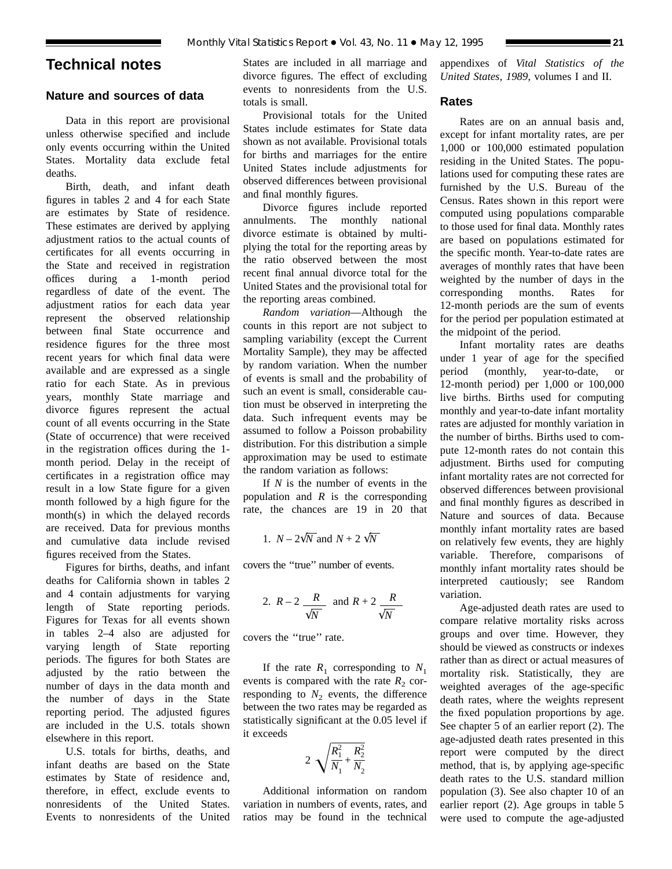## **Technical notes**

## **Nature and sources of data**

Data in this report are provisional unless otherwise specified and include only events occurring within the United States. Mortality data exclude fetal deaths.

Birth, death, and infant death figures in tables 2 and 4 for each State are estimates by State of residence. These estimates are derived by applying adjustment ratios to the actual counts of certificates for all events occurring in the State and received in registration offices during a 1-month period regardless of date of the event. The adjustment ratios for each data year represent the observed relationship between final State occurrence and residence figures for the three most recent years for which final data were available and are expressed as a single ratio for each State. As in previous years, monthly State marriage and divorce figures represent the actual count of all events occurring in the State (State of occurrence) that were received in the registration offices during the 1 month period. Delay in the receipt of certificates in a registration office may result in a low State figure for a given month followed by a high figure for the month(s) in which the delayed records are received. Data for previous months and cumulative data include revised figures received from the States.

Figures for births, deaths, and infant deaths for California shown in tables 2 and 4 contain adjustments for varying length of State reporting periods. Figures for Texas for all events shown in tables 2–4 also are adjusted for varying length of State reporting periods. The figures for both States are adjusted by the ratio between the number of days in the data month and the number of days in the State reporting period. The adjusted figures are included in the U.S. totals shown elsewhere in this report.

U.S. totals for births, deaths, and infant deaths are based on the State estimates by State of residence and, therefore, in effect, exclude events to nonresidents of the United States. Events to nonresidents of the United States are included in all marriage and divorce figures. The effect of excluding events to nonresidents from the U.S. totals is small.

Provisional totals for the United States include estimates for State data shown as not available. Provisional totals for births and marriages for the entire United States include adjustments for observed differences between provisional and final monthly figures.

Divorce figures include reported annulments. The monthly national divorce estimate is obtained by multiplying the total for the reporting areas by the ratio observed between the most recent final annual divorce total for the United States and the provisional total for the reporting areas combined.

*Random variation*—Although the counts in this report are not subject to sampling variability (except the Current Mortality Sample), they may be affected by random variation. When the number of events is small and the probability of such an event is small, considerable caution must be observed in interpreting the data. Such infrequent events may be assumed to follow a Poisson probability distribution. For this distribution a simple approximation may be used to estimate the random variation as follows:

If *N* is the number of events in the population and *R* is the corresponding rate, the chances are 19 in 20 that

1. 
$$
N - 2\sqrt{N}
$$
 and  $N + 2\sqrt{N}$ 

covers the ''true'' number of events.

2. 
$$
R-2
$$
  $\frac{R}{\sqrt{N}}$  and  $R+2$   $\frac{R}{\sqrt{N}}$ 

covers the ''true'' rate.

If the rate  $R_1$  corresponding to  $N_1$ events is compared with the rate  $R_2$  corresponding to  $N_2$  events, the difference between the two rates may be regarded as statistically significant at the 0.05 level if it exceeds

$$
2\sqrt{\frac{R_1^2}{N_1} + \frac{R_2^2}{N_2}}
$$

Additional information on random variation in numbers of events, rates, and ratios may be found in the technical appendixes of *Vital Statistics of the United States, 1989,* volumes I and II.

### **Rates**

Rates are on an annual basis and, except for infant mortality rates, are per 1,000 or 100,000 estimated population residing in the United States. The populations used for computing these rates are furnished by the U.S. Bureau of the Census. Rates shown in this report were computed using populations comparable to those used for final data. Monthly rates are based on populations estimated for the specific month. Year-to-date rates are averages of monthly rates that have been weighted by the number of days in the corresponding months. Rates for 12-month periods are the sum of events for the period per population estimated at the midpoint of the period.

Infant mortality rates are deaths under 1 year of age for the specified period (monthly, year-to-date, or 12-month period) per 1,000 or 100,000 live births. Births used for computing monthly and year-to-date infant mortality rates are adjusted for monthly variation in the number of births. Births used to compute 12-month rates do not contain this adjustment. Births used for computing infant mortality rates are not corrected for observed differences between provisional and final monthly figures as described in Nature and sources of data. Because monthly infant mortality rates are based on relatively few events, they are highly variable. Therefore, comparisons of monthly infant mortality rates should be interpreted cautiously; see Random variation.

Age-adjusted death rates are used to compare relative mortality risks across groups and over time. However, they should be viewed as constructs or indexes rather than as direct or actual measures of mortality risk. Statistically, they are weighted averages of the age-specific death rates, where the weights represent the fixed population proportions by age. See chapter 5 of an earlier report (2). The age-adjusted death rates presented in this report were computed by the direct method, that is, by applying age-specific death rates to the U.S. standard million population (3). See also chapter 10 of an earlier report (2). Age groups in table 5 were used to compute the age-adjusted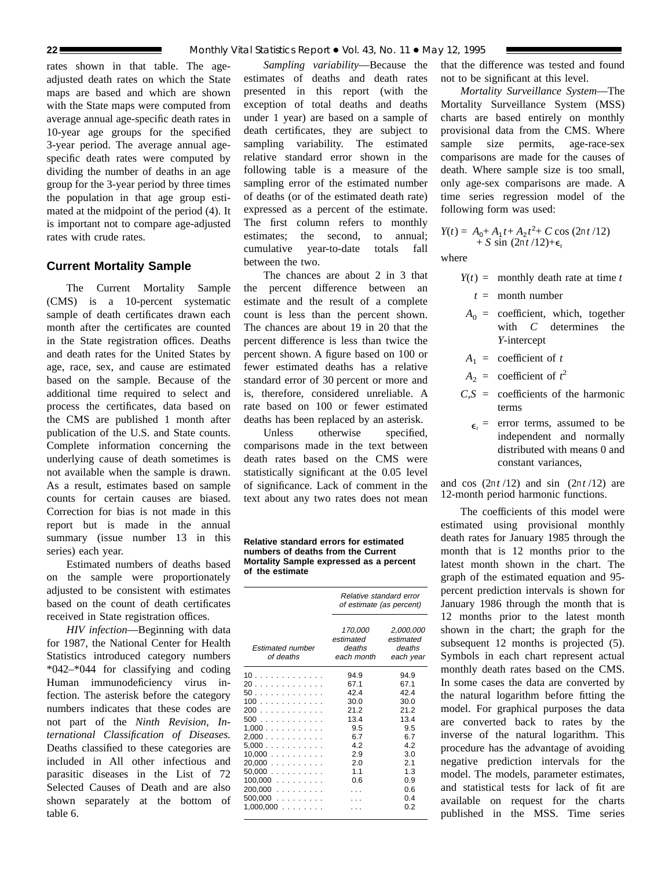rates shown in that table. The ageadjusted death rates on which the State maps are based and which are shown with the State maps were computed from average annual age-specific death rates in 10-year age groups for the specified 3-year period. The average annual agespecific death rates were computed by dividing the number of deaths in an age group for the 3-year period by three times the population in that age group estimated at the midpoint of the period (4). It is important not to compare age-adjusted rates with crude rates.

## **Current Mortality Sample**

The Current Mortality Sample (CMS) is a 10-percent systematic sample of death certificates drawn each month after the certificates are counted in the State registration offices. Deaths and death rates for the United States by age, race, sex, and cause are estimated based on the sample. Because of the additional time required to select and process the certificates, data based on the CMS are published 1 month after publication of the U.S. and State counts. Complete information concerning the underlying cause of death sometimes is not available when the sample is drawn. As a result, estimates based on sample counts for certain causes are biased. Correction for bias is not made in this report but is made in the annual summary (issue number 13 in this series) each year.

Estimated numbers of deaths based on the sample were proportionately adjusted to be consistent with estimates based on the count of death certificates received in State registration offices.

*HIV infection*—Beginning with data for 1987, the National Center for Health Statistics introduced category numbers \*042–\*044 for classifying and coding Human immunodeficiency virus infection. The asterisk before the category numbers indicates that these codes are not part of the *Ninth Revision, International Classification of Diseases.* Deaths classified to these categories are included in All other infectious and parasitic diseases in the List of 72 Selected Causes of Death and are also shown separately at the bottom of table 6.

*Sampling variability*—Because the estimates of deaths and death rates presented in this report (with the exception of total deaths and deaths under 1 year) are based on a sample of death certificates, they are subject to sampling variability. The estimated relative standard error shown in the following table is a measure of the sampling error of the estimated number of deaths (or of the estimated death rate) expressed as a percent of the estimate. The first column refers to monthly estimates; the second, to annual; cumulative year-to-date totals fall between the two.

The chances are about 2 in 3 that the percent difference between an estimate and the result of a complete count is less than the percent shown. The chances are about 19 in 20 that the percent difference is less than twice the percent shown. A figure based on 100 or fewer estimated deaths has a relative standard error of 30 percent or more and is, therefore, considered unreliable. A rate based on 100 or fewer estimated deaths has been replaced by an asterisk.

Unless otherwise specified. comparisons made in the text between death rates based on the CMS were statistically significant at the 0.05 level of significance. Lack of comment in the text about any two rates does not mean

**Relative standard errors for estimated numbers of deaths from the Current Mortality Sample expressed as a percent of the estimate**

|                               | Relative standard error<br>of estimate (as percent) |                                               |  |  |  |
|-------------------------------|-----------------------------------------------------|-----------------------------------------------|--|--|--|
| Estimated number<br>of deaths | 170,000<br>estimated<br>deaths<br>each month        | 2,000,000<br>estimated<br>deaths<br>each year |  |  |  |
| 10                            | 94.9                                                | 94.9                                          |  |  |  |
| 20                            | 67.1                                                | 67.1                                          |  |  |  |
| 50                            | 42.4                                                | 42.4                                          |  |  |  |
| 100                           | 30.0                                                | 30.0                                          |  |  |  |
| 200                           | 21.2                                                | 21.2                                          |  |  |  |
| 500                           | 13.4                                                | 13.4                                          |  |  |  |
| 1,000                         | 9.5                                                 | 9.5                                           |  |  |  |
| 2,000                         | 6.7                                                 | 6.7                                           |  |  |  |
| 5,000                         | 4.2                                                 | 42                                            |  |  |  |
| 10,000                        | 2.9                                                 | 3.0                                           |  |  |  |
| 20,000                        | 2.0                                                 | 2.1                                           |  |  |  |
| 50,000                        | 1.1                                                 | 1.3                                           |  |  |  |
| $100,000$                     | 0.6                                                 | 0.9                                           |  |  |  |
| 200.000                       |                                                     | 0.6                                           |  |  |  |
| 500,000                       |                                                     | 0.4                                           |  |  |  |
| 1,000,000                     |                                                     | 0.2                                           |  |  |  |

that the difference was tested and found not to be significant at this level.

*Mortality Surveillance System*—The Mortality Surveillance System (MSS) charts are based entirely on monthly provisional data from the CMS. Where sample size permits, age-race-sex comparisons are made for the causes of death. Where sample size is too small, only age-sex comparisons are made. A time series regression model of the following form was used:

$$
Y(t) = A_0 + A_1 t + A_2 t^2 + C \cos (2\pi t / 12) + S \sin (2\pi t / 12) + \epsilon_t
$$

where

- $Y(t) =$  monthly death rate at time *t* 
	- *t* = month number
- $A_0$  = coefficient, which, together with *C* determines the *Y*-intercept
- $A_1$  = coefficient of *t*
- $A_2$  = coefficient of  $t^2$
- $C.S =$  coefficients of the harmonic terms
	- $\epsilon$  = error terms, assumed to be independent and normally distributed with means 0 and constant variances,

and cos  $(2\pi t/12)$  and sin  $(2\pi t/12)$  are 12-month period harmonic functions.

The coefficients of this model were estimated using provisional monthly death rates for January 1985 through the month that is 12 months prior to the latest month shown in the chart. The graph of the estimated equation and 95 percent prediction intervals is shown for January 1986 through the month that is 12 months prior to the latest month shown in the chart; the graph for the subsequent 12 months is projected  $(5)$ . Symbols in each chart represent actual monthly death rates based on the CMS. In some cases the data are converted by the natural logarithm before fitting the model. For graphical purposes the data are converted back to rates by the inverse of the natural logarithm. This procedure has the advantage of avoiding negative prediction intervals for the model. The models, parameter estimates, and statistical tests for lack of fit are available on request for the charts published in the MSS. Time series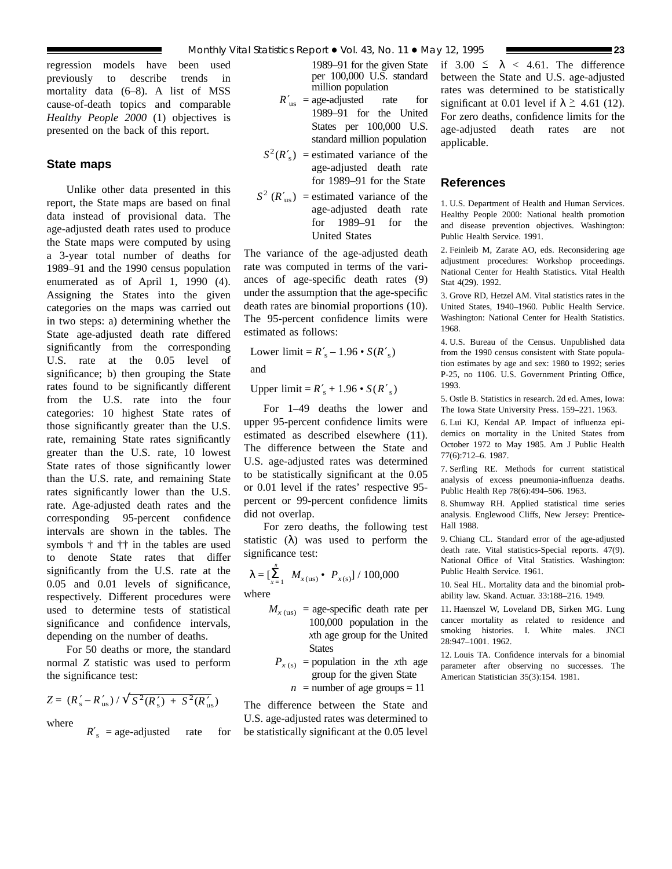regression models have been used previously to describe trends in mortality data (6–8). A list of MSS cause-of-death topics and comparable *Healthy People 2000* (1) objectives is presented on the back of this report.

## **State maps**

Unlike other data presented in this report, the State maps are based on final data instead of provisional data. The age-adjusted death rates used to produce the State maps were computed by using a 3-year total number of deaths for 1989–91 and the 1990 census population enumerated as of April 1, 1990 (4). Assigning the States into the given categories on the maps was carried out in two steps: a) determining whether the State age-adjusted death rate differed significantly from the corresponding U.S. rate at the 0.05 level of significance; b) then grouping the State rates found to be significantly different from the U.S. rate into the four categories: 10 highest State rates of those significantly greater than the U.S. rate, remaining State rates significantly greater than the U.S. rate, 10 lowest State rates of those significantly lower than the U.S. rate, and remaining State rates significantly lower than the U.S. rate. Age-adjusted death rates and the corresponding 95-percent confidence intervals are shown in the tables. The symbols † and †† in the tables are used to denote State rates that differ significantly from the U.S. rate at the 0.05 and 0.01 levels of significance, respectively. Different procedures were used to determine tests of statistical significance and confidence intervals, depending on the number of deaths.

For 50 deaths or more, the standard normal *Z* statistic was used to perform the significance test:

$$
Z = (R'_s - R'_{us}) / \sqrt{S^2(R'_s) + S^2(R'_{us})}
$$

where

 $R'$ <sub>s</sub> = age-adjusted rate for

1989–91 for the given State per 100,000 U.S. standard million population

- $R'_{\text{us}} = \text{age-adjusted}$  rate for 1989–91 for the United States per 100,000 U.S. standard million population
- $S^2(R'_s)$  = estimated variance of the age-adjusted death rate for 1989–91 for the State
- $S^2$  ( $R'_{\text{us}}$ ) = estimated variance of the age-adjusted death rate for 1989–91 for the United States

The variance of the age-adjusted death rate was computed in terms of the variances of age-specific death rates (9) under the assumption that the age-specific death rates are binomial proportions (10). The 95-percent confidence limits were estimated as follows:

Lower limit =  $R'_s - 1.96 \cdot S(R'_s)$ 

and

Upper  $\text{limit} = R'_{\text{s}} + 1.96 \cdot S(R'_{\text{s}})$ 

For 1–49 deaths the lower and upper 95-percent confidence limits were estimated as described elsewhere (11). The difference between the State and U.S. age-adjusted rates was determined to be statistically significant at the 0.05 or 0.01 level if the rates' respective 95 percent or 99-percent confidence limits did not overlap.

For zero deaths, the following test statistic  $(\lambda)$  was used to perform the significance test:

$$
\lambda = \left[\sum_{x=1}^{n} M_{x(\text{us})} \bullet P_{x(\text{s})}\right] / 100,000
$$

where

- $M_{x \text{ (us)}}$  = age-specific death rate per 100,000 population in the *x*th age group for the United **States** 
	- $P_{x(s)}$  = population in the *x*th age group for the given State

 $n =$  number of age groups = 11

The difference between the State and U.S. age-adjusted rates was determined to be statistically significant at the 0.05 level if  $3.00 \le \lambda < 4.61$ . The difference between the State and U.S. age-adjusted rates was determined to be statistically significant at 0.01 level if  $\lambda \geq 4.61$  (12). For zero deaths, confidence limits for the age-adjusted death rates are not applicable.

## **References**

1. U.S. Department of Health and Human Services. Healthy People 2000: National health promotion and disease prevention objectives. Washington: Public Health Service. 1991.

2. Feinleib M, Zarate AO, eds. Reconsidering age adjustment procedures: Workshop proceedings. National Center for Health Statistics. Vital Health Stat 4(29). 1992.

3. Grove RD, Hetzel AM. Vital statistics rates in the United States, 1940–1960. Public Health Service. Washington: National Center for Health Statistics. 1968.

4. U.S. Bureau of the Census. Unpublished data from the 1990 census consistent with State population estimates by age and sex: 1980 to 1992; series P-25, no 1106. U.S. Government Printing Office, 1993.

5. Ostle B. Statistics in research. 2d ed. Ames, Iowa: The Iowa State University Press. 159–221. 1963.

6. Lui KJ, Kendal AP. Impact of influenza epidemics on mortality in the United States from October 1972 to May 1985. Am J Public Health 77(6):712–6. 1987.

7. Serfling RE. Methods for current statistical analysis of excess pneumonia-influenza deaths. Public Health Rep 78(6):494–506. 1963.

8. Shumway RH. Applied statistical time series analysis. Englewood Cliffs, New Jersey: Prentice-Hall 1988.

9. Chiang CL. Standard error of the age-adjusted death rate. Vital statistics-Special reports. 47(9). National Office of Vital Statistics. Washington: Public Health Service. 1961.

10. Seal HL. Mortality data and the binomial probability law. Skand. Actuar. 33:188–216. 1949.

11. Haenszel W, Loveland DB, Sirken MG. Lung cancer mortality as related to residence and smoking histories. I. White males. JNCI 28:947–1001. 1962.

12. Louis TA. Confidence intervals for a binomial parameter after observing no successes. The American Statistician 35(3):154. 1981.